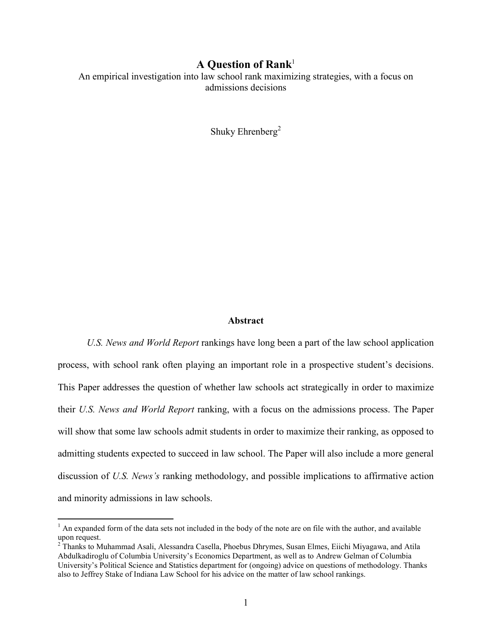## A Question of Rank $1$

An empirical investigation into law school rank maximizing strategies, with a focus on admissions decisions

Shuky Ehrenberg<sup>2</sup>

#### **Abstract**

U.S. News and World Report rankings have long been a part of the law school application process, with school rank often playing an important role in a prospective student's decisions. This Paper addresses the question of whether law schools act strategically in order to maximize their U.S. News and World Report ranking, with a focus on the admissions process. The Paper will show that some law schools admit students in order to maximize their ranking, as opposed to admitting students expected to succeed in law school. The Paper will also include a more general discussion of U.S. News's ranking methodology, and possible implications to affirmative action and minority admissions in law schools.

<sup>&</sup>lt;sup>1</sup> An expanded form of the data sets not included in the body of the note are on file with the author, and available upon request.

<sup>&</sup>lt;sup>2</sup> Thanks to Muhammad Asali, Alessandra Casella, Phoebus Dhrymes, Susan Elmes, Eiichi Miyagawa, and Atila Abdulkadiroglu of Columbia University's Economics Department, as well as to Andrew Gelman of Columbia University's Political Science and Statistics department for (ongoing) advice on questions of methodology. Thanks also to Jeffrey Stake of Indiana Law School for his advice on the matter of law school rankings.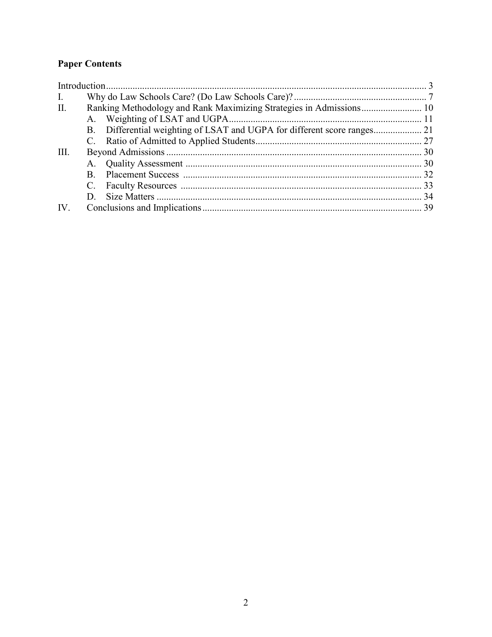# **Paper Contents**

| $\mathbf{I}$ . |  |  |  |
|----------------|--|--|--|
| II.            |  |  |  |
|                |  |  |  |
|                |  |  |  |
|                |  |  |  |
| III.           |  |  |  |
|                |  |  |  |
|                |  |  |  |
|                |  |  |  |
|                |  |  |  |
| IV.            |  |  |  |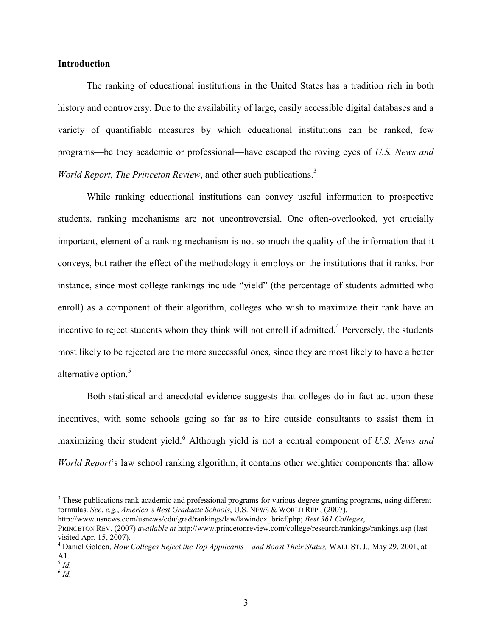#### Introduction

The ranking of educational institutions in the United States has a tradition rich in both history and controversy. Due to the availability of large, easily accessible digital databases and a variety of quantifiable measures by which educational institutions can be ranked, few programs—be they academic or professional—have escaped the roving eyes of U.S. News and World Report, The Princeton Review, and other such publications. $3$ 

 While ranking educational institutions can convey useful information to prospective students, ranking mechanisms are not uncontroversial. One often-overlooked, yet crucially important, element of a ranking mechanism is not so much the quality of the information that it conveys, but rather the effect of the methodology it employs on the institutions that it ranks. For instance, since most college rankings include "yield" (the percentage of students admitted who enroll) as a component of their algorithm, colleges who wish to maximize their rank have an incentive to reject students whom they think will not enroll if admitted.<sup>4</sup> Perversely, the students most likely to be rejected are the more successful ones, since they are most likely to have a better alternative option.<sup>5</sup>

Both statistical and anecdotal evidence suggests that colleges do in fact act upon these incentives, with some schools going so far as to hire outside consultants to assist them in maximizing their student yield.<sup>6</sup> Although yield is not a central component of U.S. News and World Report's law school ranking algorithm, it contains other weightier components that allow

http://www.usnews.com/usnews/edu/grad/rankings/law/lawindex\_brief.php; Best 361 Colleges, PRINCETON REV. (2007) available at http://www.princetonreview.com/college/research/rankings/rankings.asp (last visited Apr. 15, 2007).

<sup>&</sup>lt;sup>3</sup> These publications rank academic and professional programs for various degree granting programs, using different formulas. See, e.g., America's Best Graduate Schools, U.S. NEWS & WORLD REP., (2007),

 $^4$  Daniel Golden, How Colleges Reject the Top Applicants – and Boost Their Status, WALL ST. J., May 29, 2001, at A1.<br><sup>5</sup> Id.

 $^6$  Id.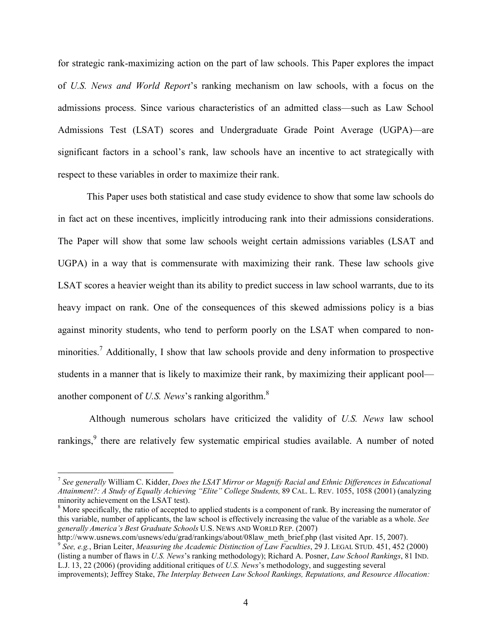for strategic rank-maximizing action on the part of law schools. This Paper explores the impact of U.S. News and World Report's ranking mechanism on law schools, with a focus on the admissions process. Since various characteristics of an admitted class—such as Law School Admissions Test (LSAT) scores and Undergraduate Grade Point Average (UGPA)—are significant factors in a school's rank, law schools have an incentive to act strategically with respect to these variables in order to maximize their rank.

This Paper uses both statistical and case study evidence to show that some law schools do in fact act on these incentives, implicitly introducing rank into their admissions considerations. The Paper will show that some law schools weight certain admissions variables (LSAT and UGPA) in a way that is commensurate with maximizing their rank. These law schools give LSAT scores a heavier weight than its ability to predict success in law school warrants, due to its heavy impact on rank. One of the consequences of this skewed admissions policy is a bias against minority students, who tend to perform poorly on the LSAT when compared to nonminorities.<sup>7</sup> Additionally, I show that law schools provide and deny information to prospective students in a manner that is likely to maximize their rank, by maximizing their applicant pool another component of U.S. News's ranking algorithm.<sup>8</sup>

 Although numerous scholars have criticized the validity of U.S. News law school rankings,<sup>9</sup> there are relatively few systematic empirical studies available. A number of noted

<sup>&</sup>lt;sup>7</sup> See generally William C. Kidder, Does the LSAT Mirror or Magnify Racial and Ethnic Differences in Educational Attainment?: A Study of Equally Achieving "Elite" College Students, 89 CAL. L. REV. 1055, 1058 (2001) (analyzing minority achievement on the LSAT test).

<sup>&</sup>lt;sup>8</sup> More specifically, the ratio of accepted to applied students is a component of rank. By increasing the numerator of this variable, number of applicants, the law school is effectively increasing the value of the variable as a whole. See generally America's Best Graduate Schools U.S. NEWS AND WORLD REP. (2007)

http://www.usnews.com/usnews/edu/grad/rankings/about/08law\_meth\_brief.php (last visited Apr. 15, 2007).

<sup>&</sup>lt;sup>9</sup> See, e.g., Brian Leiter, Measuring the Academic Distinction of Law Faculties, 29 J. LEGAL STUD. 451, 452 (2000) (listing a number of flaws in U.S. News's ranking methodology); Richard A. Posner, Law School Rankings, 81 IND. L.J. 13, 22 (2006) (providing additional critiques of U.S. News's methodology, and suggesting several

improvements); Jeffrey Stake, The Interplay Between Law School Rankings, Reputations, and Resource Allocation: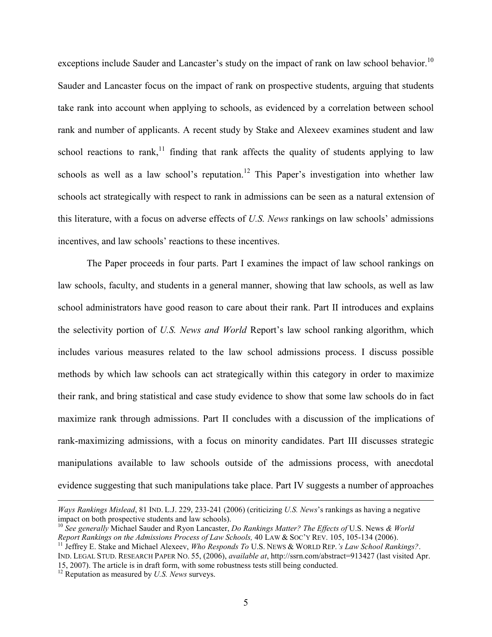exceptions include Sauder and Lancaster's study on the impact of rank on law school behavior.<sup>10</sup> Sauder and Lancaster focus on the impact of rank on prospective students, arguing that students take rank into account when applying to schools, as evidenced by a correlation between school rank and number of applicants. A recent study by Stake and Alexeev examines student and law school reactions to rank,<sup>11</sup> finding that rank affects the quality of students applying to law schools as well as a law school's reputation.<sup>12</sup> This Paper's investigation into whether law schools act strategically with respect to rank in admissions can be seen as a natural extension of this literature, with a focus on adverse effects of U.S. News rankings on law schools' admissions incentives, and law schools' reactions to these incentives.

The Paper proceeds in four parts. Part I examines the impact of law school rankings on law schools, faculty, and students in a general manner, showing that law schools, as well as law school administrators have good reason to care about their rank. Part II introduces and explains the selectivity portion of U.S. News and World Report's law school ranking algorithm, which includes various measures related to the law school admissions process. I discuss possible methods by which law schools can act strategically within this category in order to maximize their rank, and bring statistical and case study evidence to show that some law schools do in fact maximize rank through admissions. Part II concludes with a discussion of the implications of rank-maximizing admissions, with a focus on minority candidates. Part III discusses strategic manipulations available to law schools outside of the admissions process, with anecdotal evidence suggesting that such manipulations take place. Part IV suggests a number of approaches

Ways Rankings Mislead, 81 IND. L.J. 229, 233-241 (2006) (criticizing U.S. News's rankings as having a negative impact on both prospective students and law schools).

<sup>&</sup>lt;sup>10</sup> See generally Michael Sauder and Ryon Lancaster, *Do Rankings Matter? The Effects of* U.S. News & *World* Report Rankings on the Admissions Process of Law Schools, 40 LAW & SOC'Y REV. 105, 105-134 (2006).

<sup>&</sup>lt;sup>11</sup> Jeffrey E. Stake and Michael Alexeev, Who Responds To U.S. NEWS & WORLD REP.'s Law School Rankings?. IND. LEGAL STUD. RESEARCH PAPER NO. 55, (2006), available at, http://ssrn.com/abstract=913427 (last visited Apr. 15, 2007). The article is in draft form, with some robustness tests still being conducted.

 $12$  Reputation as measured by U.S. News surveys.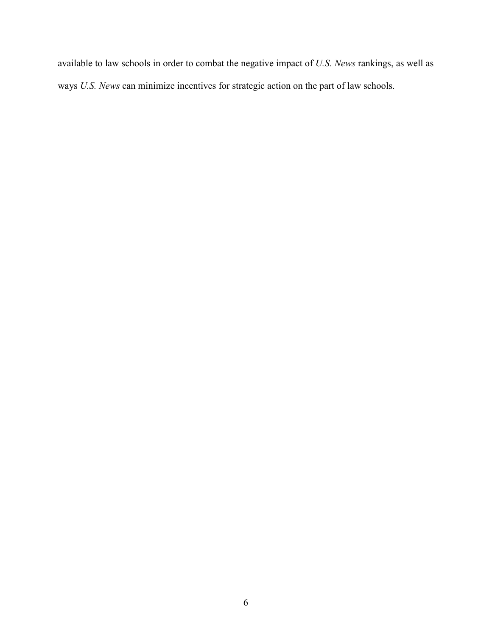available to law schools in order to combat the negative impact of U.S. News rankings, as well as ways U.S. News can minimize incentives for strategic action on the part of law schools.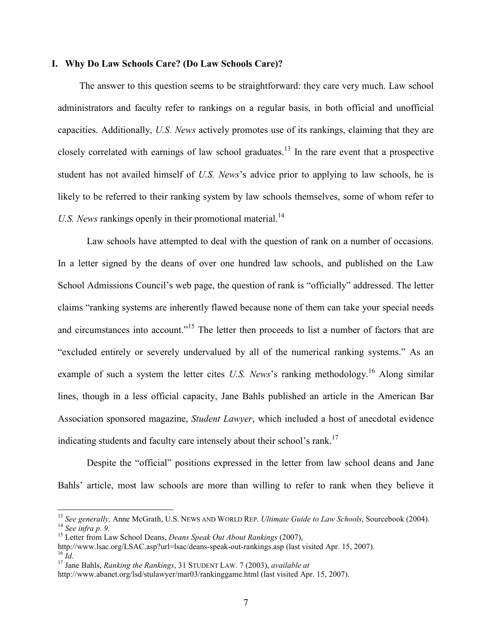## I. Why Do Law Schools Care? (Do Law Schools Care)?

The answer to this question seems to be straightforward: they care very much. Law school administrators and faculty refer to rankings on a regular basis, in both official and unofficial capacities. Additionally, U.S. News actively promotes use of its rankings, claiming that they are closely correlated with earnings of law school graduates.<sup>13</sup> In the rare event that a prospective student has not availed himself of U.S. News's advice prior to applying to law schools, he is likely to be referred to their ranking system by law schools themselves, some of whom refer to U.S. News rankings openly in their promotional material.<sup>14</sup>

 Law schools have attempted to deal with the question of rank on a number of occasions. In a letter signed by the deans of over one hundred law schools, and published on the Law School Admissions Council's web page, the question of rank is "officially" addressed. The letter claims "ranking systems are inherently flawed because none of them can take your special needs and circumstances into account."<sup>15</sup> The letter then proceeds to list a number of factors that are "excluded entirely or severely undervalued by all of the numerical ranking systems." As an example of such a system the letter cites U.S. News's ranking methodology.<sup>16</sup> Along similar lines, though in a less official capacity, Jane Bahls published an article in the American Bar Association sponsored magazine, Student Lawyer, which included a host of anecdotal evidence indicating students and faculty care intensely about their school's rank.<sup>17</sup>

 Despite the "official" positions expressed in the letter from law school deans and Jane Bahls' article, most law schools are more than willing to refer to rank when they believe it

<sup>&</sup>lt;sup>13</sup> See generally, Anne McGrath, U.S. NEWS AND WORLD REP. Ultimate Guide to Law Schools, Sourcebook (2004).  $14$  See infra p. 9.

<sup>&</sup>lt;sup>15</sup> Letter from Law School Deans, *Deans Speak Out About Rankings* (2007),

http://www.lsac.org/LSAC.asp?url=lsac/deans-speak-out-rankings.asp (last visited Apr. 15, 2007).  $^{16}$  Id.

<sup>&</sup>lt;sup>17</sup> Jane Bahls, *Ranking the Rankings*, 31 STUDENT LAW, 7 (2003), *available at* 

http://www.abanet.org/lsd/stulawyer/mar03/rankinggame.html (last visited Apr. 15, 2007).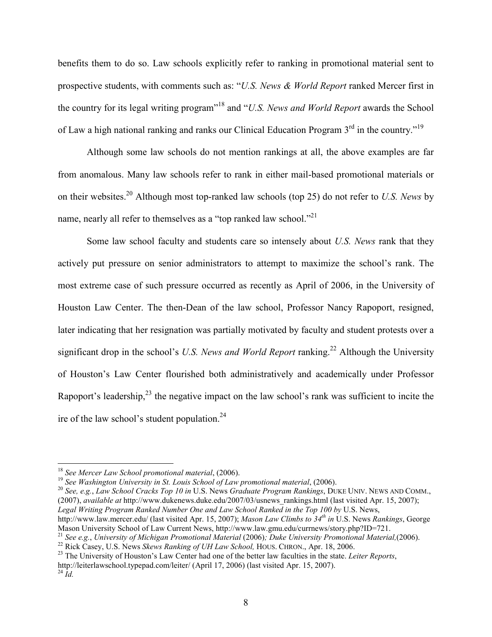benefits them to do so. Law schools explicitly refer to ranking in promotional material sent to prospective students, with comments such as: "U.S. News & World Report ranked Mercer first in the country for its legal writing program"<sup>18</sup> and "U.S. News and World Report awards the School of Law a high national ranking and ranks our Clinical Education Program  $3<sup>rd</sup>$  in the country.<sup>"19</sup>

 Although some law schools do not mention rankings at all, the above examples are far from anomalous. Many law schools refer to rank in either mail-based promotional materials or on their websites.<sup>20</sup> Although most top-ranked law schools (top 25) do not refer to U.S. News by name, nearly all refer to themselves as a "top ranked law school."<sup>21</sup>

Some law school faculty and students care so intensely about U.S. News rank that they actively put pressure on senior administrators to attempt to maximize the school's rank. The most extreme case of such pressure occurred as recently as April of 2006, in the University of Houston Law Center. The then-Dean of the law school, Professor Nancy Rapoport, resigned, later indicating that her resignation was partially motivated by faculty and student protests over a significant drop in the school's U.S. News and World Report ranking.<sup>22</sup> Although the University of Houston's Law Center flourished both administratively and academically under Professor Rapoport's leadership,  $2<sup>3</sup>$  the negative impact on the law school's rank was sufficient to incite the ire of the law school's student population. $24$ 

 $18$  See Mercer Law School promotional material, (2006).

 $19$  See Washington University in St. Louis School of Law promotional material, (2006).

 $^{20}$  See, e.g., Law School Cracks Top 10 in U.S. News Graduate Program Rankings, DUKE UNIV. NEWS AND COMM., (2007), available at http://www.dukenews.duke.edu/2007/03/usnews\_rankings.html (last visited Apr. 15, 2007); Legal Writing Program Ranked Number One and Law School Ranked in the Top 100 by U.S. News, http://www.law.mercer.edu/ (last visited Apr. 15, 2007); Mason Law Climbs to  $34<sup>th</sup>$  in U.S. News Rankings, George

Mason University School of Law Current News, http://www.law.gmu.edu/currnews/story.php?ID=721.

<sup>&</sup>lt;sup>21</sup> See e.g., University of Michigan Promotional Material (2006); Duke University Promotional Material,(2006).

<sup>&</sup>lt;sup>22</sup> Rick Casey, U.S. News Skews Ranking of UH Law School, HOUS. CHRON., Apr. 18, 2006.

<sup>&</sup>lt;sup>23</sup> The University of Houston's Law Center had one of the better law faculties in the state. Leiter Reports, http://leiterlawschool.typepad.com/leiter/ (April 17, 2006) (last visited Apr. 15, 2007).  $^{24}$   $\dot{I}$ d.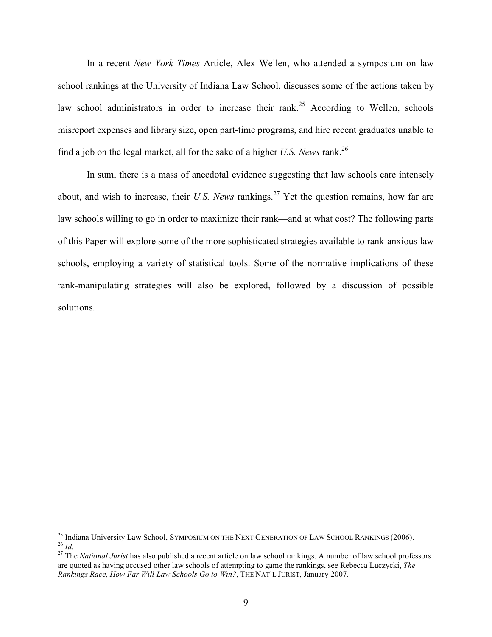In a recent New York Times Article, Alex Wellen, who attended a symposium on law school rankings at the University of Indiana Law School, discusses some of the actions taken by law school administrators in order to increase their rank.<sup>25</sup> According to Wellen, schools misreport expenses and library size, open part-time programs, and hire recent graduates unable to find a job on the legal market, all for the sake of a higher U.S. News rank.<sup>26</sup>

In sum, there is a mass of anecdotal evidence suggesting that law schools care intensely about, and wish to increase, their U.S. News rankings.<sup>27</sup> Yet the question remains, how far are law schools willing to go in order to maximize their rank—and at what cost? The following parts of this Paper will explore some of the more sophisticated strategies available to rank-anxious law schools, employing a variety of statistical tools. Some of the normative implications of these rank-manipulating strategies will also be explored, followed by a discussion of possible solutions.

<sup>&</sup>lt;sup>25</sup> Indiana University Law School, SYMPOSIUM ON THE NEXT GENERATION OF LAW SCHOOL RANKINGS (2006).  $^{26}$  Id.

 $27$  The National Jurist has also published a recent article on law school rankings. A number of law school professors are quoted as having accused other law schools of attempting to game the rankings, see Rebecca Luczycki, The Rankings Race, How Far Will Law Schools Go to Win?, THE NAT'L JURIST, January 2007.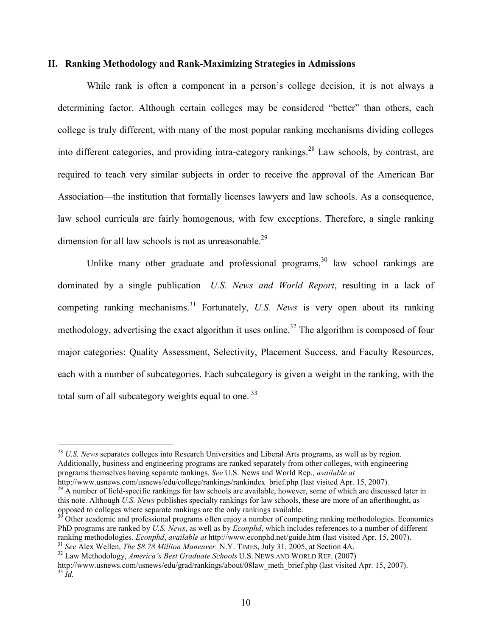#### II. Ranking Methodology and Rank-Maximizing Strategies in Admissions

While rank is often a component in a person's college decision, it is not always a determining factor. Although certain colleges may be considered "better" than others, each college is truly different, with many of the most popular ranking mechanisms dividing colleges into different categories, and providing intra-category rankings.<sup>28</sup> Law schools, by contrast, are required to teach very similar subjects in order to receive the approval of the American Bar Association—the institution that formally licenses lawyers and law schools. As a consequence, law school curricula are fairly homogenous, with few exceptions. Therefore, a single ranking dimension for all law schools is not as unreasonable.<sup>29</sup>

Unlike many other graduate and professional programs,  $30$  law school rankings are dominated by a single publication—U.S. News and World Report, resulting in a lack of competing ranking mechanisms.<sup>31</sup> Fortunately, U.S. News is very open about its ranking methodology, advertising the exact algorithm it uses online.<sup>32</sup> The algorithm is composed of four major categories: Quality Assessment, Selectivity, Placement Success, and Faculty Resources, each with a number of subcategories. Each subcategory is given a weight in the ranking, with the total sum of all subcategory weights equal to one.  $33$ 

 $^{28}$  U.S. News separates colleges into Research Universities and Liberal Arts programs, as well as by region. Additionally, business and engineering programs are ranked separately from other colleges, with engineering programs themselves having separate rankings. See U.S. News and World Rep., available at http://www.usnews.com/usnews/edu/college/rankings/rankindex\_brief.php (last visited Apr. 15, 2007).

 $^{29}$  A number of field-specific rankings for law schools are available, however, some of which are discussed later in this note. Although U.S. News publishes specialty rankings for law schools, these are more of an afterthought, as opposed to colleges where separate rankings are the only rankings available.

<sup>&</sup>lt;sup>30</sup> Other academic and professional programs often enjoy a number of competing ranking methodologies. Economics PhD programs are ranked by U.S. News, as well as by *Econphd*, which includes references to a number of different ranking methodologies. Econphd, available at http://www.econphd.net/guide.htm (last visited Apr. 15, 2007).

<sup>&</sup>lt;sup>31</sup> See Alex Wellen, *The \$8.78 Million Maneuver*, N.Y. TIMES, July 31, 2005, at Section 4A.

<sup>&</sup>lt;sup>32</sup> Law Methodology, America's Best Graduate Schools U.S. NEWS AND WORLD REP. (2007)

http://www.usnews.com/usnews/edu/grad/rankings/about/08law\_meth\_brief.php (last visited Apr. 15, 2007).  $33$  Id.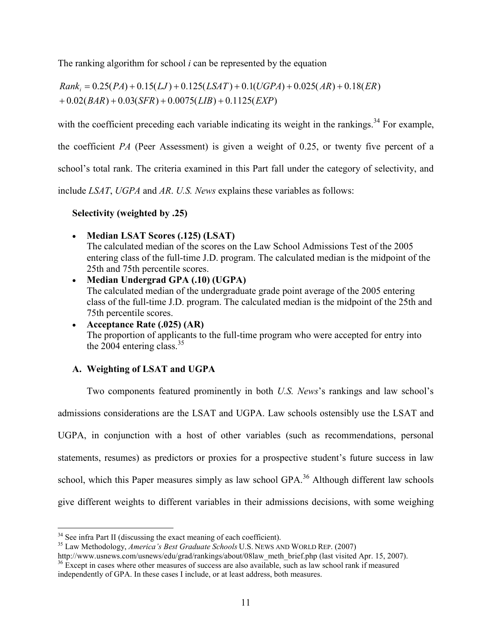The ranking algorithm for school  $i$  can be represented by the equation

 $+ 0.02(BAR) + 0.03(SFR) + 0.0075(LIB) + 0.1125(EXP)$  $Rank_i = 0.25(PA) + 0.15(LJ) + 0.125(LSAT) + 0.1(UGPA) + 0.025(AR) + 0.18(ER)$ 

with the coefficient preceding each variable indicating its weight in the rankings.<sup>34</sup> For example,

the coefficient PA (Peer Assessment) is given a weight of 0.25, or twenty five percent of a

school's total rank. The criteria examined in this Part fall under the category of selectivity, and

include LSAT, UGPA and AR. U.S. News explains these variables as follows:

Selectivity (weighted by .25)

- Median LSAT Scores (.125) (LSAT) The calculated median of the scores on the Law School Admissions Test of the 2005 entering class of the full-time J.D. program. The calculated median is the midpoint of the 25th and 75th percentile scores.
- Median Undergrad GPA (.10) (UGPA) The calculated median of the undergraduate grade point average of the 2005 entering class of the full-time J.D. program. The calculated median is the midpoint of the 25th and 75th percentile scores.
- Acceptance Rate (.025) (AR) The proportion of applicants to the full-time program who were accepted for entry into the  $2004$  entering class  $35$

# A. Weighting of LSAT and UGPA

 Two components featured prominently in both U.S. News's rankings and law school's admissions considerations are the LSAT and UGPA. Law schools ostensibly use the LSAT and UGPA, in conjunction with a host of other variables (such as recommendations, personal statements, resumes) as predictors or proxies for a prospective student's future success in law school, which this Paper measures simply as law school GPA.<sup>36</sup> Although different law schools give different weights to different variables in their admissions decisions, with some weighing

 $\overline{a}$  $34$  See infra Part II (discussing the exact meaning of each coefficient).

<sup>&</sup>lt;sup>35</sup> Law Methodology, America's Best Graduate Schools U.S. NEWS AND WORLD REP. (2007)

http://www.usnews.com/usnews/edu/grad/rankings/about/08law\_meth\_brief.php (last visited Apr. 15, 2007). <sup>36</sup> Except in cases where other measures of success are also available, such as law school rank if measured independently of GPA. In these cases I include, or at least address, both measures.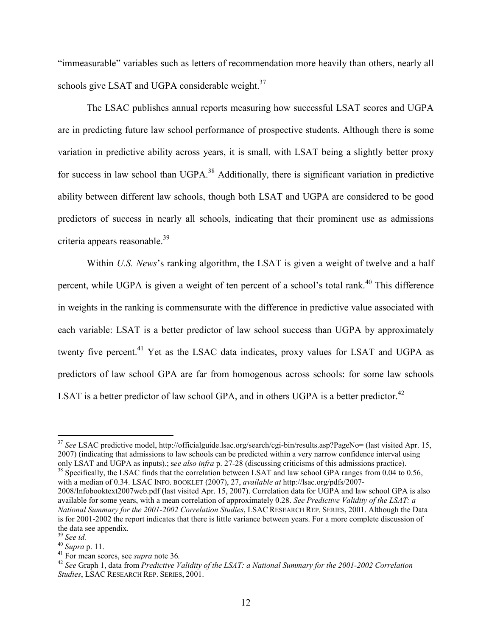"immeasurable" variables such as letters of recommendation more heavily than others, nearly all schools give LSAT and UGPA considerable weight.<sup>37</sup>

 The LSAC publishes annual reports measuring how successful LSAT scores and UGPA are in predicting future law school performance of prospective students. Although there is some variation in predictive ability across years, it is small, with LSAT being a slightly better proxy for success in law school than UGPA.<sup>38</sup> Additionally, there is significant variation in predictive ability between different law schools, though both LSAT and UGPA are considered to be good predictors of success in nearly all schools, indicating that their prominent use as admissions criteria appears reasonable.<sup>39</sup>

Within U.S. News's ranking algorithm, the LSAT is given a weight of twelve and a half percent, while UGPA is given a weight of ten percent of a school's total rank.<sup>40</sup> This difference in weights in the ranking is commensurate with the difference in predictive value associated with each variable: LSAT is a better predictor of law school success than UGPA by approximately twenty five percent.<sup>41</sup> Yet as the LSAC data indicates, proxy values for LSAT and UGPA as predictors of law school GPA are far from homogenous across schools: for some law schools LSAT is a better predictor of law school GPA, and in others UGPA is a better predictor.<sup>42</sup>

<sup>&</sup>lt;sup>37</sup> See LSAC predictive model, http://officialguide.lsac.org/search/cgi-bin/results.asp?PageNo= (last visited Apr. 15, 2007) (indicating that admissions to law schools can be predicted within a very narrow confidence interval using only LSAT and UGPA as inputs).; see also infra p. 27-28 (discussing criticisms of this admissions practice).

<sup>&</sup>lt;sup>38</sup> Specifically, the LSAC finds that the correlation between LSAT and law school GPA ranges from 0.04 to 0.56, with a median of 0.34. LSAC INFO. BOOKLET (2007), 27, *available at http://lsac.org/pdfs/2007-*

<sup>2008/</sup>Infobooktext2007web.pdf (last visited Apr. 15, 2007). Correlation data for UGPA and law school GPA is also available for some years, with a mean correlation of approximately 0.28. See Predictive Validity of the LSAT: a National Summary for the 2001-2002 Correlation Studies, LSAC RESEARCH REP. SERIES, 2001. Although the Data is for 2001-2002 the report indicates that there is little variance between years. For a more complete discussion of the data see appendix.

 $39$  See id.

 $40$  Supra p. 11.

 $41$  For mean scores, see *supra* note 36.

<sup>&</sup>lt;sup>42</sup> See Graph 1, data from *Predictive Validity of the LSAT: a National Summary for the 2001-2002 Correlation* Studies, LSAC RESEARCH REP. SERIES, 2001.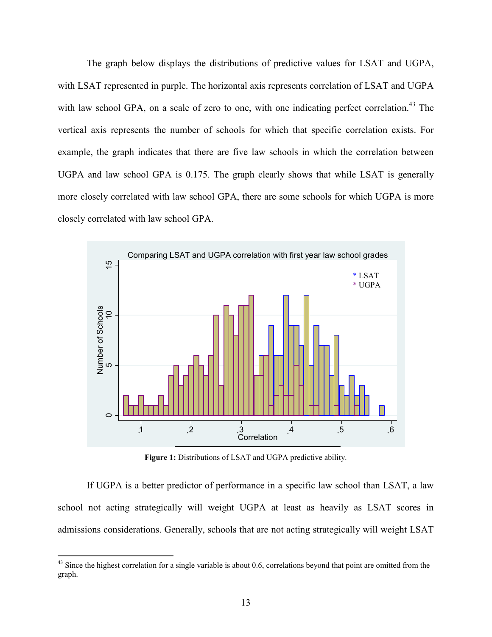The graph below displays the distributions of predictive values for LSAT and UGPA, with LSAT represented in purple. The horizontal axis represents correlation of LSAT and UGPA with law school GPA, on a scale of zero to one, with one indicating perfect correlation.<sup>43</sup> The vertical axis represents the number of schools for which that specific correlation exists. For example, the graph indicates that there are five law schools in which the correlation between UGPA and law school GPA is 0.175. The graph clearly shows that while LSAT is generally more closely correlated with law school GPA, there are some schools for which UGPA is more closely correlated with law school GPA.



Figure 1: Distributions of LSAT and UGPA predictive ability.

If UGPA is a better predictor of performance in a specific law school than LSAT, a law school not acting strategically will weight UGPA at least as heavily as LSAT scores in admissions considerations. Generally, schools that are not acting strategically will weight LSAT

 $43$  Since the highest correlation for a single variable is about 0.6, correlations beyond that point are omitted from the graph.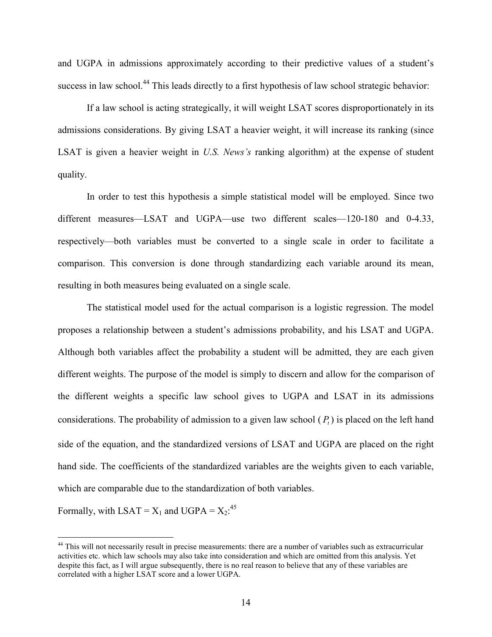and UGPA in admissions approximately according to their predictive values of a student's success in law school.<sup>44</sup> This leads directly to a first hypothesis of law school strategic behavior:

If a law school is acting strategically, it will weight LSAT scores disproportionately in its admissions considerations. By giving LSAT a heavier weight, it will increase its ranking (since LSAT is given a heavier weight in U.S. News's ranking algorithm) at the expense of student quality.

 In order to test this hypothesis a simple statistical model will be employed. Since two different measures—LSAT and UGPA—use two different scales—120-180 and 0-4.33, respectively—both variables must be converted to a single scale in order to facilitate a comparison. This conversion is done through standardizing each variable around its mean, resulting in both measures being evaluated on a single scale.

The statistical model used for the actual comparison is a logistic regression. The model proposes a relationship between a student's admissions probability, and his LSAT and UGPA. Although both variables affect the probability a student will be admitted, they are each given different weights. The purpose of the model is simply to discern and allow for the comparison of the different weights a specific law school gives to UGPA and LSAT in its admissions considerations. The probability of admission to a given law school  $(P_t)$  is placed on the left hand side of the equation, and the standardized versions of LSAT and UGPA are placed on the right hand side. The coefficients of the standardized variables are the weights given to each variable, which are comparable due to the standardization of both variables.

Formally, with  $LSAT = X_1$  and  $UGPA = X_2$ :<sup>45</sup>

<sup>&</sup>lt;sup>44</sup> This will not necessarily result in precise measurements: there are a number of variables such as extracurricular activities etc. which law schools may also take into consideration and which are omitted from this analysis. Yet despite this fact, as I will argue subsequently, there is no real reason to believe that any of these variables are correlated with a higher LSAT score and a lower UGPA.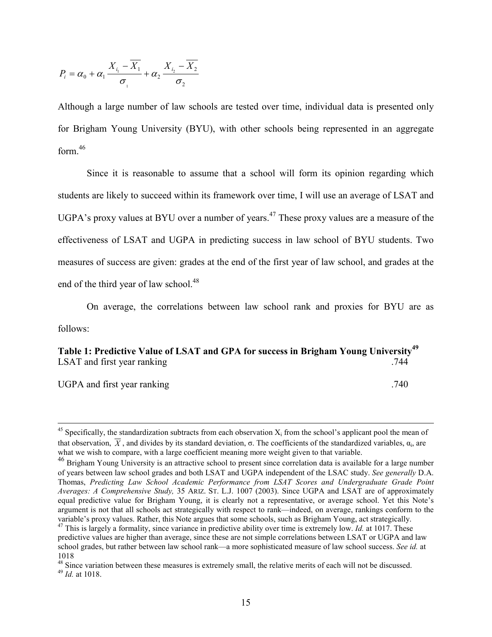$$
P_i = \alpha_0 + \alpha_1 \frac{X_{i_1} - \overline{X_1}}{\sigma_1} + \alpha_2 \frac{X_{i_2} - \overline{X_2}}{\sigma_2}
$$

Although a large number of law schools are tested over time, individual data is presented only for Brigham Young University (BYU), with other schools being represented in an aggregate form.<sup>46</sup>

Since it is reasonable to assume that a school will form its opinion regarding which students are likely to succeed within its framework over time, I will use an average of LSAT and UGPA's proxy values at BYU over a number of years.<sup>47</sup> These proxy values are a measure of the effectiveness of LSAT and UGPA in predicting success in law school of BYU students. Two measures of success are given: grades at the end of the first year of law school, and grades at the end of the third year of law school. $48$ 

On average, the correlations between law school rank and proxies for BYU are as follows:

Table 1: Predictive Value of LSAT and GPA for success in Brigham Young University<sup>49</sup> LSAT and first year ranking .744

UGPA and first year ranking .740

<sup>&</sup>lt;sup>45</sup> Specifically, the standardization subtracts from each observation  $X_i$  from the school's applicant pool the mean of that observation, X, and divides by its standard deviation,  $\sigma$ . The coefficients of the standardized variables,  $\alpha_i$ , are what we wish to compare, with a large coefficient meaning more weight given to that variable.

<sup>&</sup>lt;sup>46</sup> Brigham Young University is an attractive school to present since correlation data is available for a large number of years between law school grades and both LSAT and UGPA independent of the LSAC study. See generally D.A. Thomas, Predicting Law School Academic Performance from LSAT Scores and Undergraduate Grade Point Averages: A Comprehensive Study, 35 ARIZ. ST. L.J. 1007 (2003). Since UGPA and LSAT are of approximately equal predictive value for Brigham Young, it is clearly not a representative, or average school. Yet this Note's argument is not that all schools act strategically with respect to rank—indeed, on average, rankings conform to the variable's proxy values. Rather, this Note argues that some schools, such as Brigham Young, act strategically.  $47$  This is largely a formality, since variance in predictive ability over time is extremely low. *Id.* at 1017. These predictive values are higher than average, since these are not simple correlations between LSAT or UGPA and law school grades, but rather between law school rank—a more sophisticated measure of law school success. See id. at 1018

 $48$  Since variation between these measures is extremely small, the relative merits of each will not be discussed.  $49$  *Id.* at 1018.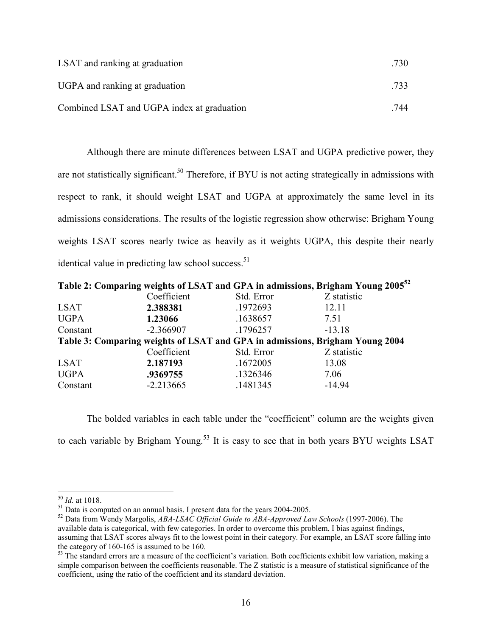| LSAT and ranking at graduation             | .730 |
|--------------------------------------------|------|
| UGPA and ranking at graduation             | .733 |
| Combined LSAT and UGPA index at graduation | 744  |

Although there are minute differences between LSAT and UGPA predictive power, they are not statistically significant.<sup>50</sup> Therefore, if BYU is not acting strategically in admissions with respect to rank, it should weight LSAT and UGPA at approximately the same level in its admissions considerations. The results of the logistic regression show otherwise: Brigham Young weights LSAT scores nearly twice as heavily as it weights UGPA, this despite their nearly identical value in predicting law school success.<sup>51</sup>

|                                                                              |             |            | Table 2: Comparing weights of LSAT and GPA in admissions, Brigham Young 2005 <sup>52</sup> |  |  |
|------------------------------------------------------------------------------|-------------|------------|--------------------------------------------------------------------------------------------|--|--|
|                                                                              | Coefficient | Std. Error | Z statistic                                                                                |  |  |
| <b>LSAT</b>                                                                  | 2.388381    | .1972693   | 12.11                                                                                      |  |  |
| <b>UGPA</b>                                                                  | 1.23066     | .1638657   | 7.51                                                                                       |  |  |
| Constant                                                                     | $-2.366907$ | .1796257   | $-13.18$                                                                                   |  |  |
| Table 3: Comparing weights of LSAT and GPA in admissions, Brigham Young 2004 |             |            |                                                                                            |  |  |
|                                                                              | Coefficient | Std. Error | Z statistic                                                                                |  |  |
| <b>LSAT</b>                                                                  | 2.187193    | .1672005   | 13.08                                                                                      |  |  |
| <b>UGPA</b>                                                                  | .9369755    | .1326346   | 7.06                                                                                       |  |  |
| Constant                                                                     | $-2.213665$ | .1481345   | $-14.94$                                                                                   |  |  |

 The bolded variables in each table under the "coefficient" column are the weights given to each variable by Brigham Young.<sup>53</sup> It is easy to see that in both years BYU weights LSAT

 $50$  *Id.* at 1018.

 $\frac{51}{100}$  Data is computed on an annual basis. I present data for the years 2004-2005.

 $52$  Data from Wendy Margolis, ABA-LSAC Official Guide to ABA-Approved Law Schools (1997-2006). The available data is categorical, with few categories. In order to overcome this problem, I bias against findings, assuming that LSAT scores always fit to the lowest point in their category. For example, an LSAT score falling into the category of 160-165 is assumed to be 160.

<sup>&</sup>lt;sup>53</sup> The standard errors are a measure of the coefficient's variation. Both coefficients exhibit low variation, making a simple comparison between the coefficients reasonable. The Z statistic is a measure of statistical significance of the coefficient, using the ratio of the coefficient and its standard deviation.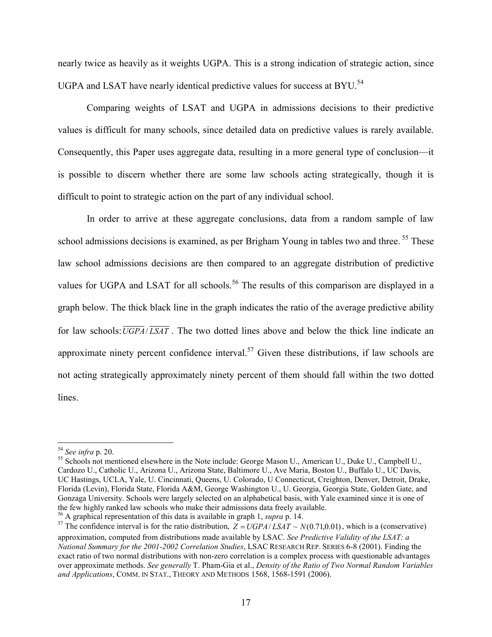nearly twice as heavily as it weights UGPA. This is a strong indication of strategic action, since UGPA and LSAT have nearly identical predictive values for success at BYU.<sup>54</sup>

 Comparing weights of LSAT and UGPA in admissions decisions to their predictive values is difficult for many schools, since detailed data on predictive values is rarely available. Consequently, this Paper uses aggregate data, resulting in a more general type of conclusion—it is possible to discern whether there are some law schools acting strategically, though it is difficult to point to strategic action on the part of any individual school.

In order to arrive at these aggregate conclusions, data from a random sample of law school admissions decisions is examined, as per Brigham Young in tables two and three.<sup>55</sup> These law school admissions decisions are then compared to an aggregate distribution of predictive values for UGPA and LSAT for all schools.<sup>56</sup> The results of this comparison are displayed in a graph below. The thick black line in the graph indicates the ratio of the average predictive ability for law schools:  $\overline{UGPA}/\overline{LSAT}$ . The two dotted lines above and below the thick line indicate an approximate ninety percent confidence interval.<sup>57</sup> Given these distributions, if law schools are not acting strategically approximately ninety percent of them should fall within the two dotted lines.

 $54$  See infra p. 20.

<sup>&</sup>lt;sup>55</sup> Schools not mentioned elsewhere in the Note include: George Mason U., American U., Duke U., Campbell U., Cardozo U., Catholic U., Arizona U., Arizona State, Baltimore U., Ave Maria, Boston U., Buffalo U., UC Davis, UC Hastings, UCLA, Yale, U. Cincinnati, Queens, U. Colorado, U Connecticut, Creighton, Denver, Detroit, Drake, Florida (Levin), Florida State, Florida A&M, George Washington U., U. Georgia, Georgia State, Golden Gate, and Gonzaga University. Schools were largely selected on an alphabetical basis, with Yale examined since it is one of the few highly ranked law schools who make their admissions data freely available.

 $56$  A graphical representation of this data is available in graph 1, supra p. 14.

<sup>&</sup>lt;sup>57</sup> The confidence interval is for the ratio distribution,  $Z = UGPA/LSAT \sim N(0.71, 0.01)$ , which is a (conservative) approximation, computed from distributions made available by LSAC. See Predictive Validity of the LSAT: a National Summary for the 2001-2002 Correlation Studies, LSAC RESEARCH REP. SERIES 6-8 (2001). Finding the exact ratio of two normal distributions with non-zero correlation is a complex process with questionable advantages over approximate methods. See generally T. Pham-Gia et al., Density of the Ratio of Two Normal Random Variables and Applications, COMM. IN STAT., THEORY AND METHODS 1568, 1568-1591 (2006).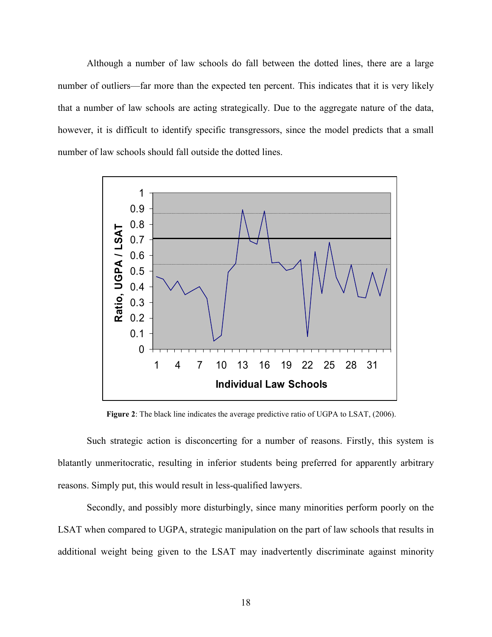Although a number of law schools do fall between the dotted lines, there are a large number of outliers—far more than the expected ten percent. This indicates that it is very likely that a number of law schools are acting strategically. Due to the aggregate nature of the data, however, it is difficult to identify specific transgressors, since the model predicts that a small number of law schools should fall outside the dotted lines.



Figure 2: The black line indicates the average predictive ratio of UGPA to LSAT, (2006).

Such strategic action is disconcerting for a number of reasons. Firstly, this system is blatantly unmeritocratic, resulting in inferior students being preferred for apparently arbitrary reasons. Simply put, this would result in less-qualified lawyers.

Secondly, and possibly more disturbingly, since many minorities perform poorly on the LSAT when compared to UGPA, strategic manipulation on the part of law schools that results in additional weight being given to the LSAT may inadvertently discriminate against minority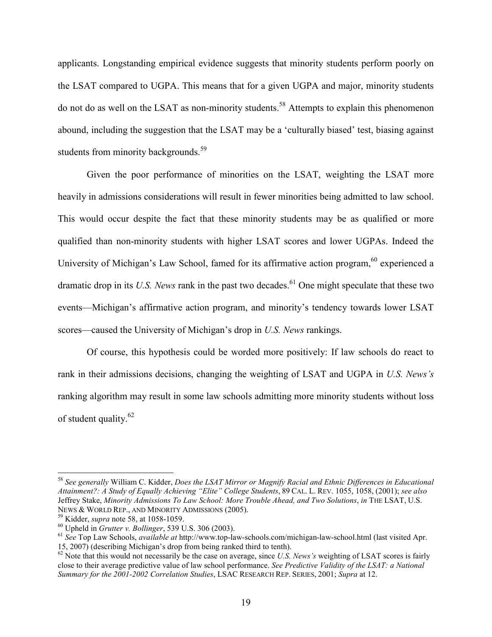applicants. Longstanding empirical evidence suggests that minority students perform poorly on the LSAT compared to UGPA. This means that for a given UGPA and major, minority students do not do as well on the LSAT as non-minority students.<sup>58</sup> Attempts to explain this phenomenon abound, including the suggestion that the LSAT may be a 'culturally biased' test, biasing against students from minority backgrounds.<sup>59</sup>

Given the poor performance of minorities on the LSAT, weighting the LSAT more heavily in admissions considerations will result in fewer minorities being admitted to law school. This would occur despite the fact that these minority students may be as qualified or more qualified than non-minority students with higher LSAT scores and lower UGPAs. Indeed the University of Michigan's Law School, famed for its affirmative action program, $60$  experienced a dramatic drop in its U.S. News rank in the past two decades.<sup>61</sup> One might speculate that these two events—Michigan's affirmative action program, and minority's tendency towards lower LSAT scores—caused the University of Michigan's drop in U.S. News rankings.

Of course, this hypothesis could be worded more positively: If law schools do react to rank in their admissions decisions, changing the weighting of LSAT and UGPA in U.S. News's ranking algorithm may result in some law schools admitting more minority students without loss of student quality.<sup>62</sup>

 $58$  See generally William C. Kidder, Does the LSAT Mirror or Magnify Racial and Ethnic Differences in Educational Attainment?: A Study of Equally Achieving "Elite" College Students, 89 CAL. L. REV. 1055, 1058, (2001); see also Jeffrey Stake, Minority Admissions To Law School: More Trouble Ahead, and Two Solutions, in THE LSAT, U.S. NEWS & WORLD REP., AND MINORITY ADMISSIONS (2005).

 $59$  Kidder, *supra* note 58, at 1058-1059.

 $^{60}$  Upheld in *Grutter v. Bollinger*, 539 U.S. 306 (2003).

 $^{61}$  See Top Law Schools, *available at* http://www.top-law-schools.com/michigan-law-school.html (last visited Apr. 15, 2007) (describing Michigan's drop from being ranked third to tenth).

 $62$  Note that this would not necessarily be the case on average, since U.S. News's weighting of LSAT scores is fairly close to their average predictive value of law school performance. See Predictive Validity of the LSAT: a National Summary for the 2001-2002 Correlation Studies, LSAC RESEARCH REP. SERIES, 2001; Supra at 12.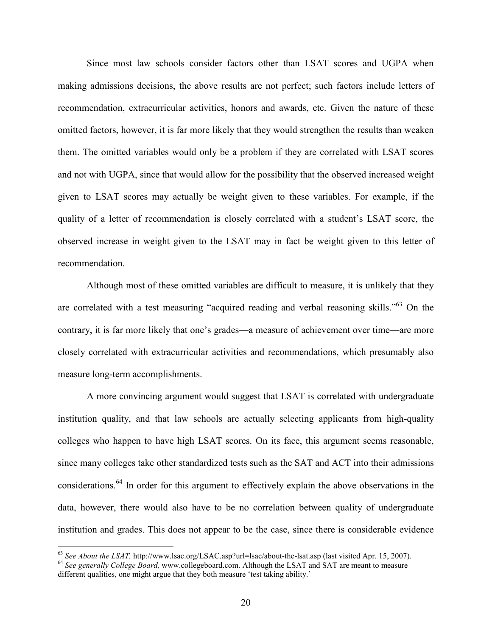Since most law schools consider factors other than LSAT scores and UGPA when making admissions decisions, the above results are not perfect; such factors include letters of recommendation, extracurricular activities, honors and awards, etc. Given the nature of these omitted factors, however, it is far more likely that they would strengthen the results than weaken them. The omitted variables would only be a problem if they are correlated with LSAT scores and not with UGPA, since that would allow for the possibility that the observed increased weight given to LSAT scores may actually be weight given to these variables. For example, if the quality of a letter of recommendation is closely correlated with a student's LSAT score, the observed increase in weight given to the LSAT may in fact be weight given to this letter of recommendation.

Although most of these omitted variables are difficult to measure, it is unlikely that they are correlated with a test measuring "acquired reading and verbal reasoning skills."<sup>63</sup> On the contrary, it is far more likely that one's grades—a measure of achievement over time—are more closely correlated with extracurricular activities and recommendations, which presumably also measure long-term accomplishments.

A more convincing argument would suggest that LSAT is correlated with undergraduate institution quality, and that law schools are actually selecting applicants from high-quality colleges who happen to have high LSAT scores. On its face, this argument seems reasonable, since many colleges take other standardized tests such as the SAT and ACT into their admissions considerations.<sup>64</sup> In order for this argument to effectively explain the above observations in the data, however, there would also have to be no correlation between quality of undergraduate institution and grades. This does not appear to be the case, since there is considerable evidence

 $63$  See About the LSAT, http://www.lsac.org/LSAC.asp?url=lsac/about-the-lsat.asp (last visited Apr. 15, 2007).

<sup>&</sup>lt;sup>64</sup> See generally College Board, www.collegeboard.com. Although the LSAT and SAT are meant to measure different qualities, one might argue that they both measure 'test taking ability.'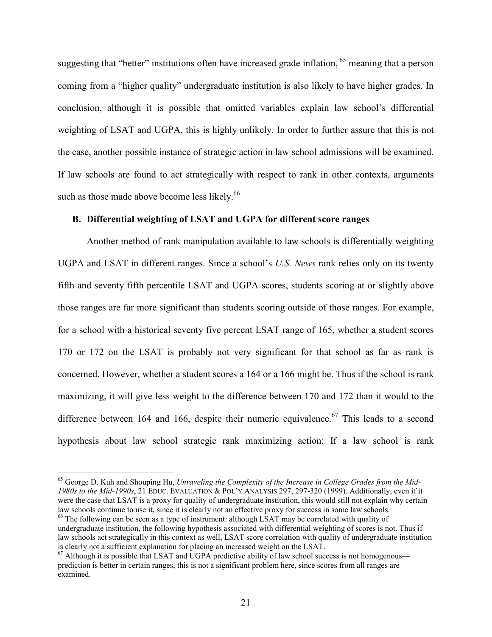suggesting that "better" institutions often have increased grade inflation,  $65$  meaning that a person coming from a "higher quality" undergraduate institution is also likely to have higher grades. In conclusion, although it is possible that omitted variables explain law school's differential weighting of LSAT and UGPA, this is highly unlikely. In order to further assure that this is not the case, another possible instance of strategic action in law school admissions will be examined. If law schools are found to act strategically with respect to rank in other contexts, arguments such as those made above become less likely.<sup>66</sup>

## B. Differential weighting of LSAT and UGPA for different score ranges

Another method of rank manipulation available to law schools is differentially weighting UGPA and LSAT in different ranges. Since a school's U.S. News rank relies only on its twenty fifth and seventy fifth percentile LSAT and UGPA scores, students scoring at or slightly above those ranges are far more significant than students scoring outside of those ranges. For example, for a school with a historical seventy five percent LSAT range of 165, whether a student scores 170 or 172 on the LSAT is probably not very significant for that school as far as rank is concerned. However, whether a student scores a 164 or a 166 might be. Thus if the school is rank maximizing, it will give less weight to the difference between 170 and 172 than it would to the difference between 164 and 166, despite their numeric equivalence.<sup>67</sup> This leads to a second hypothesis about law school strategic rank maximizing action: If a law school is rank

 $65$  George D. Kuh and Shouping Hu, Unraveling the Complexity of the Increase in College Grades from the Mid-1980s to the Mid-1990s, 21 EDUC. EVALUATION & POL'Y ANALYSIS 297, 297-320 (1999). Additionally, even if it were the case that LSAT is a proxy for quality of undergraduate institution, this would still not explain why certain law schools continue to use it, since it is clearly not an effective proxy for success in some law schools.

<sup>&</sup>lt;sup>66</sup> The following can be seen as a type of instrument: although LSAT may be correlated with quality of undergraduate institution, the following hypothesis associated with differential weighting of scores is not. Thus if law schools act strategically in this context as well, LSAT score correlation with quality of undergraduate institution is clearly not a sufficient explanation for placing an increased weight on the LSAT.

 $67$  Although it is possible that LSAT and UGPA predictive ability of law school success is not homogenous prediction is better in certain ranges, this is not a significant problem here, since scores from all ranges are examined.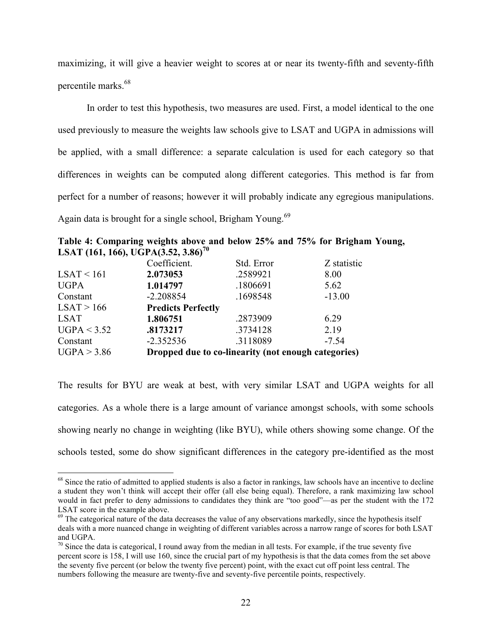maximizing, it will give a heavier weight to scores at or near its twenty-fifth and seventy-fifth percentile marks.<sup>68</sup>

In order to test this hypothesis, two measures are used. First, a model identical to the one used previously to measure the weights law schools give to LSAT and UGPA in admissions will be applied, with a small difference: a separate calculation is used for each category so that differences in weights can be computed along different categories. This method is far from perfect for a number of reasons; however it will probably indicate any egregious manipulations. Again data is brought for a single school, Brigham Young.<sup>69</sup>

Table 4: Comparing weights above and below 25% and 75% for Brigham Young, LSAT (161, 166), UGPA(3.52, 3.86)<sup>70</sup>

|             | Coefficient.                                        | Std. Error | Z statistic |  |
|-------------|-----------------------------------------------------|------------|-------------|--|
| LSAT < 161  | 2.073053                                            | .2589921   | 8.00        |  |
| <b>UGPA</b> | 1.014797                                            | .1806691   | 5.62        |  |
| Constant    | $-2.208854$                                         | .1698548   | $-13.00$    |  |
| LSAT > 166  | <b>Predicts Perfectly</b>                           |            |             |  |
| <b>LSAT</b> | 1.806751                                            | .2873909   | 6.29        |  |
| UGPA < 3.52 | .8173217                                            | .3734128   | 2.19        |  |
| Constant    | $-2.352536$                                         | .3118089   | $-7.54$     |  |
| UGPA > 3.86 | Dropped due to co-linearity (not enough categories) |            |             |  |

-

The results for BYU are weak at best, with very similar LSAT and UGPA weights for all categories. As a whole there is a large amount of variance amongst schools, with some schools showing nearly no change in weighting (like BYU), while others showing some change. Of the schools tested, some do show significant differences in the category pre-identified as the most

 $68$  Since the ratio of admitted to applied students is also a factor in rankings, law schools have an incentive to decline a student they won't think will accept their offer (all else being equal). Therefore, a rank maximizing law school would in fact prefer to deny admissions to candidates they think are "too good"—as per the student with the 172 LSAT score in the example above.

 $^{69}$  The categorical nature of the data decreases the value of any observations markedly, since the hypothesis itself deals with a more nuanced change in weighting of different variables across a narrow range of scores for both LSAT and UGPA.

 $70$  Since the data is categorical, I round away from the median in all tests. For example, if the true seventy five percent score is 158, I will use 160, since the crucial part of my hypothesis is that the data comes from the set above the seventy five percent (or below the twenty five percent) point, with the exact cut off point less central. The numbers following the measure are twenty-five and seventy-five percentile points, respectively.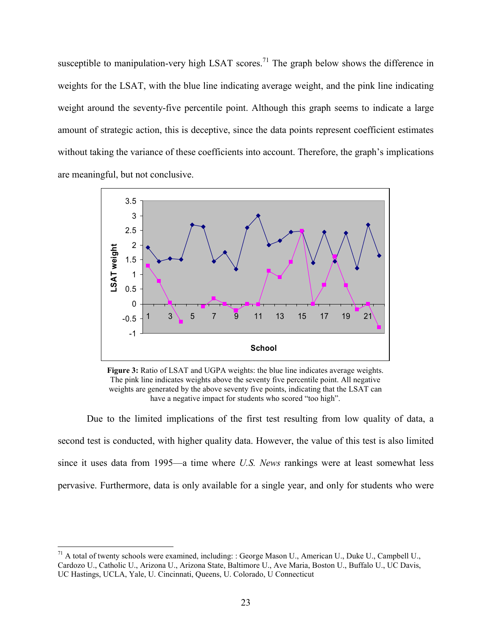susceptible to manipulation-very high LSAT scores.<sup>71</sup> The graph below shows the difference in weights for the LSAT, with the blue line indicating average weight, and the pink line indicating weight around the seventy-five percentile point. Although this graph seems to indicate a large amount of strategic action, this is deceptive, since the data points represent coefficient estimates without taking the variance of these coefficients into account. Therefore, the graph's implications are meaningful, but not conclusive.



Figure 3: Ratio of LSAT and UGPA weights: the blue line indicates average weights. The pink line indicates weights above the seventy five percentile point. All negative weights are generated by the above seventy five points, indicating that the LSAT can have a negative impact for students who scored "too high".

Due to the limited implications of the first test resulting from low quality of data, a second test is conducted, with higher quality data. However, the value of this test is also limited since it uses data from 1995—a time where U.S. News rankings were at least somewhat less pervasive. Furthermore, data is only available for a single year, and only for students who were

 $71$  A total of twenty schools were examined, including: : George Mason U., American U., Duke U., Campbell U., Cardozo U., Catholic U., Arizona U., Arizona State, Baltimore U., Ave Maria, Boston U., Buffalo U., UC Davis, UC Hastings, UCLA, Yale, U. Cincinnati, Queens, U. Colorado, U Connecticut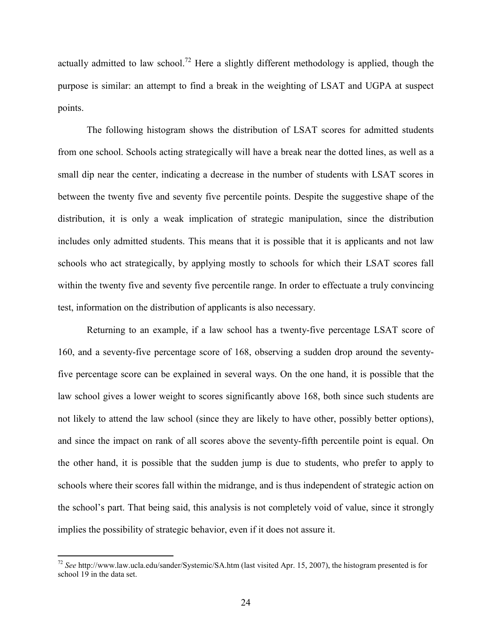actually admitted to law school.<sup>72</sup> Here a slightly different methodology is applied, though the purpose is similar: an attempt to find a break in the weighting of LSAT and UGPA at suspect points.

 The following histogram shows the distribution of LSAT scores for admitted students from one school. Schools acting strategically will have a break near the dotted lines, as well as a small dip near the center, indicating a decrease in the number of students with LSAT scores in between the twenty five and seventy five percentile points. Despite the suggestive shape of the distribution, it is only a weak implication of strategic manipulation, since the distribution includes only admitted students. This means that it is possible that it is applicants and not law schools who act strategically, by applying mostly to schools for which their LSAT scores fall within the twenty five and seventy five percentile range. In order to effectuate a truly convincing test, information on the distribution of applicants is also necessary.

Returning to an example, if a law school has a twenty-five percentage LSAT score of 160, and a seventy-five percentage score of 168, observing a sudden drop around the seventyfive percentage score can be explained in several ways. On the one hand, it is possible that the law school gives a lower weight to scores significantly above 168, both since such students are not likely to attend the law school (since they are likely to have other, possibly better options), and since the impact on rank of all scores above the seventy-fifth percentile point is equal. On the other hand, it is possible that the sudden jump is due to students, who prefer to apply to schools where their scores fall within the midrange, and is thus independent of strategic action on the school's part. That being said, this analysis is not completely void of value, since it strongly implies the possibility of strategic behavior, even if it does not assure it.

 $72$  See http://www.law.ucla.edu/sander/Systemic/SA.htm (last visited Apr. 15, 2007), the histogram presented is for school 19 in the data set.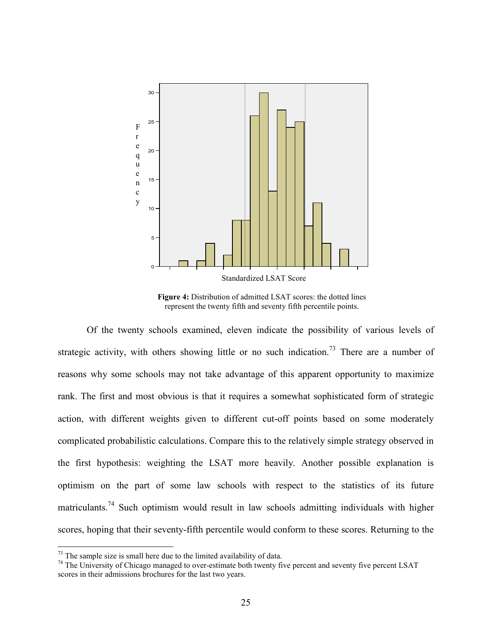

Figure 4: Distribution of admitted LSAT scores: the dotted lines represent the twenty fifth and seventy fifth percentile points.

 Of the twenty schools examined, eleven indicate the possibility of various levels of strategic activity, with others showing little or no such indication.<sup>73</sup> There are a number of reasons why some schools may not take advantage of this apparent opportunity to maximize rank. The first and most obvious is that it requires a somewhat sophisticated form of strategic action, with different weights given to different cut-off points based on some moderately complicated probabilistic calculations. Compare this to the relatively simple strategy observed in the first hypothesis: weighting the LSAT more heavily. Another possible explanation is optimism on the part of some law schools with respect to the statistics of its future matriculants.<sup>74</sup> Such optimism would result in law schools admitting individuals with higher scores, hoping that their seventy-fifth percentile would conform to these scores. Returning to the

 $73$  The sample size is small here due to the limited availability of data.

<sup>&</sup>lt;sup>74</sup> The University of Chicago managed to over-estimate both twenty five percent and seventy five percent LSAT scores in their admissions brochures for the last two years.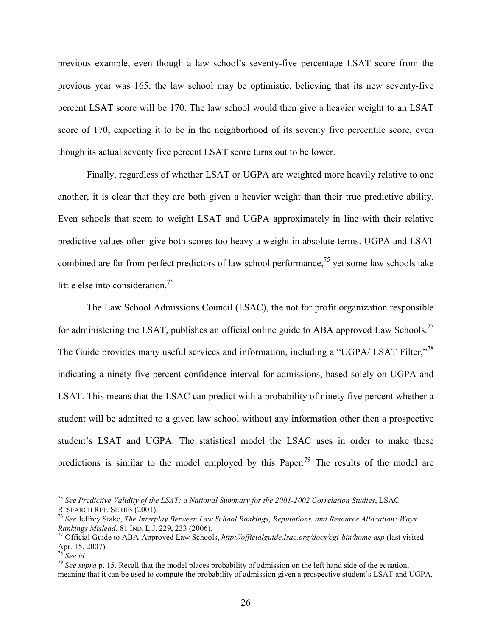previous example, even though a law school's seventy-five percentage LSAT score from the previous year was 165, the law school may be optimistic, believing that its new seventy-five percent LSAT score will be 170. The law school would then give a heavier weight to an LSAT score of 170, expecting it to be in the neighborhood of its seventy five percentile score, even though its actual seventy five percent LSAT score turns out to be lower.

Finally, regardless of whether LSAT or UGPA are weighted more heavily relative to one another, it is clear that they are both given a heavier weight than their true predictive ability. Even schools that seem to weight LSAT and UGPA approximately in line with their relative predictive values often give both scores too heavy a weight in absolute terms. UGPA and LSAT combined are far from perfect predictors of law school performance,<sup>75</sup> yet some law schools take little else into consideration.<sup>76</sup>

The Law School Admissions Council (LSAC), the not for profit organization responsible for administering the LSAT, publishes an official online guide to ABA approved Law Schools.<sup>77</sup> The Guide provides many useful services and information, including a "UGPA/ LSAT Filter,"<sup>78</sup> indicating a ninety-five percent confidence interval for admissions, based solely on UGPA and LSAT. This means that the LSAC can predict with a probability of ninety five percent whether a student will be admitted to a given law school without any information other then a prospective student's LSAT and UGPA. The statistical model the LSAC uses in order to make these predictions is similar to the model employed by this Paper.<sup>79</sup> The results of the model are

<sup>&</sup>lt;sup>75</sup> See Predictive Validity of the LSAT: a National Summary for the 2001-2002 Correlation Studies, LSAC RESEARCH REP. SERIES (2001).

<sup>&</sup>lt;sup>76</sup> See Jeffrey Stake, The Interplay Between Law School Rankings, Reputations, and Resource Allocation: Ways Rankings Mislead, 81 IND. L.J. 229, 233 (2006).

 $^{77}$  Official Guide to ABA-Approved Law Schools, http://officialguide.lsac.org/docs/cgi-bin/home.asp (last visited Apr. 15, 2007).

 $78$  See id.

 $79$  See supra p. 15. Recall that the model places probability of admission on the left hand side of the equation, meaning that it can be used to compute the probability of admission given a prospective student's LSAT and UGPA.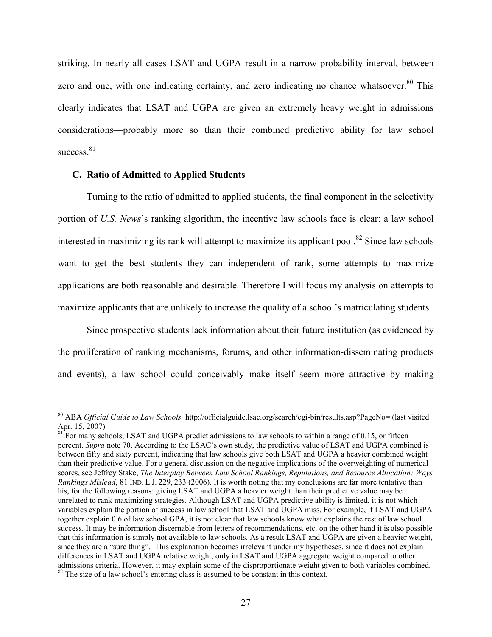striking. In nearly all cases LSAT and UGPA result in a narrow probability interval, between zero and one, with one indicating certainty, and zero indicating no chance whatsoever.<sup>80</sup> This clearly indicates that LSAT and UGPA are given an extremely heavy weight in admissions considerations—probably more so than their combined predictive ability for law school success.<sup>81</sup>

#### C. Ratio of Admitted to Applied Students

 $\overline{a}$ 

Turning to the ratio of admitted to applied students, the final component in the selectivity portion of U.S. News's ranking algorithm, the incentive law schools face is clear: a law school interested in maximizing its rank will attempt to maximize its applicant pool.<sup>82</sup> Since law schools want to get the best students they can independent of rank, some attempts to maximize applications are both reasonable and desirable. Therefore I will focus my analysis on attempts to maximize applicants that are unlikely to increase the quality of a school's matriculating students.

 Since prospective students lack information about their future institution (as evidenced by the proliferation of ranking mechanisms, forums, and other information-disseminating products and events), a law school could conceivably make itself seem more attractive by making

<sup>&</sup>lt;sup>80</sup> ABA Official Guide to Law Schools. http://officialguide.lsac.org/search/cgi-bin/results.asp?PageNo= (last visited Apr. 15, 2007)

 $81$ <sup>E</sup> For many schools, LSAT and UGPA predict admissions to law schools to within a range of 0.15, or fifteen percent. Supra note 70. According to the LSAC's own study, the predictive value of LSAT and UGPA combined is between fifty and sixty percent, indicating that law schools give both LSAT and UGPA a heavier combined weight than their predictive value. For a general discussion on the negative implications of the overweighting of numerical scores, see Jeffrey Stake, The Interplay Between Law School Rankings, Reputations, and Resource Allocation: Ways Rankings Mislead, 81 IND. L J. 229, 233 (2006). It is worth noting that my conclusions are far more tentative than his, for the following reasons: giving LSAT and UGPA a heavier weight than their predictive value may be unrelated to rank maximizing strategies. Although LSAT and UGPA predictive ability is limited, it is not which variables explain the portion of success in law school that LSAT and UGPA miss. For example, if LSAT and UGPA together explain 0.6 of law school GPA, it is not clear that law schools know what explains the rest of law school success. It may be information discernable from letters of recommendations, etc. on the other hand it is also possible that this information is simply not available to law schools. As a result LSAT and UGPA are given a heavier weight, since they are a "sure thing". This explanation becomes irrelevant under my hypotheses, since it does not explain differences in LSAT and UGPA relative weight, only in LSAT and UGPA aggregate weight compared to other admissions criteria. However, it may explain some of the disproportionate weight given to both variables combined.  $82$  The size of a law school's entering class is assumed to be constant in this context.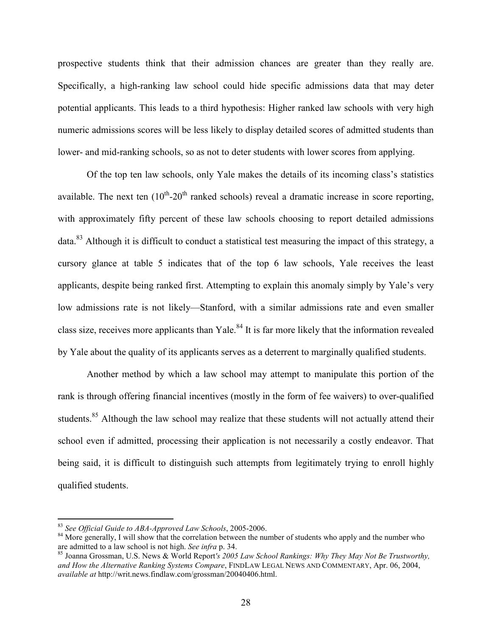prospective students think that their admission chances are greater than they really are. Specifically, a high-ranking law school could hide specific admissions data that may deter potential applicants. This leads to a third hypothesis: Higher ranked law schools with very high numeric admissions scores will be less likely to display detailed scores of admitted students than lower- and mid-ranking schools, so as not to deter students with lower scores from applying.

 Of the top ten law schools, only Yale makes the details of its incoming class's statistics available. The next ten  $(10^{th} - 20^{th})$  ranked schools) reveal a dramatic increase in score reporting, with approximately fifty percent of these law schools choosing to report detailed admissions data.<sup>83</sup> Although it is difficult to conduct a statistical test measuring the impact of this strategy, a cursory glance at table 5 indicates that of the top 6 law schools, Yale receives the least applicants, despite being ranked first. Attempting to explain this anomaly simply by Yale's very low admissions rate is not likely—Stanford, with a similar admissions rate and even smaller class size, receives more applicants than Yale.<sup>84</sup> It is far more likely that the information revealed by Yale about the quality of its applicants serves as a deterrent to marginally qualified students.

 Another method by which a law school may attempt to manipulate this portion of the rank is through offering financial incentives (mostly in the form of fee waivers) to over-qualified students.<sup>85</sup> Although the law school may realize that these students will not actually attend their school even if admitted, processing their application is not necessarily a costly endeavor. That being said, it is difficult to distinguish such attempts from legitimately trying to enroll highly qualified students.

 $83$  See Official Guide to ABA-Approved Law Schools, 2005-2006.

 $84$  More generally, I will show that the correlation between the number of students who apply and the number who are admitted to a law school is not high. See infra p. 34.

 $85$  Joanna Grossman, U.S. News & World Report's 2005 Law School Rankings: Why They May Not Be Trustworthy, and How the Alternative Ranking Systems Compare, FINDLAW LEGAL NEWS AND COMMENTARY, Apr. 06, 2004, available at http://writ.news.findlaw.com/grossman/20040406.html.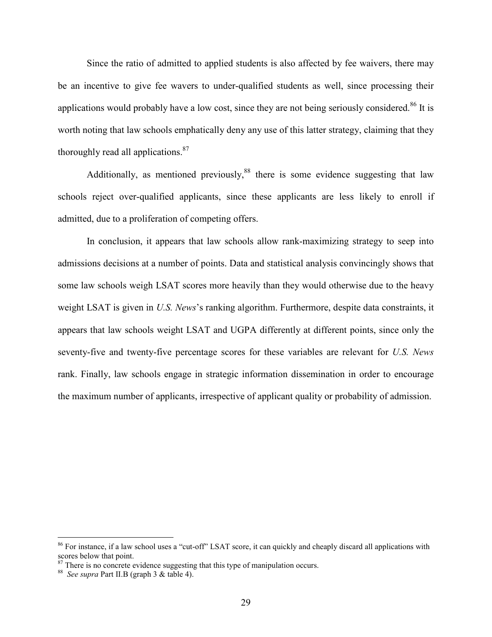Since the ratio of admitted to applied students is also affected by fee waivers, there may be an incentive to give fee wavers to under-qualified students as well, since processing their applications would probably have a low cost, since they are not being seriously considered. $86$  It is worth noting that law schools emphatically deny any use of this latter strategy, claiming that they thoroughly read all applications.<sup>87</sup>

Additionally, as mentioned previously,<sup>88</sup> there is some evidence suggesting that law schools reject over-qualified applicants, since these applicants are less likely to enroll if admitted, due to a proliferation of competing offers.

 In conclusion, it appears that law schools allow rank-maximizing strategy to seep into admissions decisions at a number of points. Data and statistical analysis convincingly shows that some law schools weigh LSAT scores more heavily than they would otherwise due to the heavy weight LSAT is given in U.S. News's ranking algorithm. Furthermore, despite data constraints, it appears that law schools weight LSAT and UGPA differently at different points, since only the seventy-five and twenty-five percentage scores for these variables are relevant for U.S. News rank. Finally, law schools engage in strategic information dissemination in order to encourage the maximum number of applicants, irrespective of applicant quality or probability of admission.

<sup>&</sup>lt;sup>86</sup> For instance, if a law school uses a "cut-off" LSAT score, it can quickly and cheaply discard all applications with scores below that point.

 $87$  There is no concrete evidence suggesting that this type of manipulation occurs.

<sup>88</sup> See supra Part II.B (graph 3 & table 4).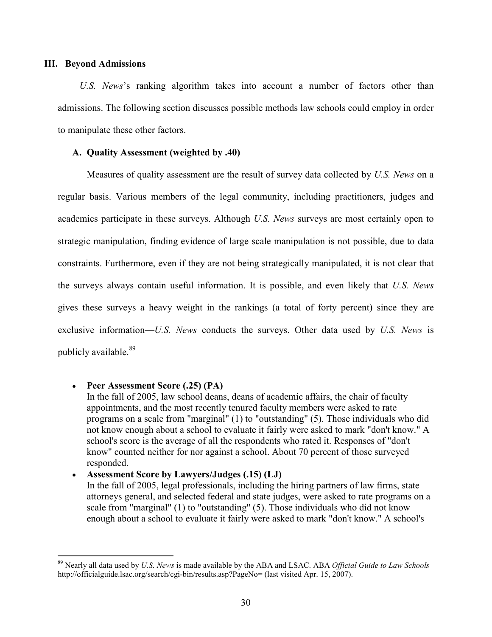#### III. Beyond Admissions

U.S. News's ranking algorithm takes into account a number of factors other than admissions. The following section discusses possible methods law schools could employ in order to manipulate these other factors.

#### A. Quality Assessment (weighted by .40)

Measures of quality assessment are the result of survey data collected by U.S. News on a regular basis. Various members of the legal community, including practitioners, judges and academics participate in these surveys. Although U.S. News surveys are most certainly open to strategic manipulation, finding evidence of large scale manipulation is not possible, due to data constraints. Furthermore, even if they are not being strategically manipulated, it is not clear that the surveys always contain useful information. It is possible, and even likely that U.S. News gives these surveys a heavy weight in the rankings (a total of forty percent) since they are exclusive information—U.S. News conducts the surveys. Other data used by U.S. News is publicly available.<sup>89</sup>

## • Peer Assessment Score (.25) (PA)

-

In the fall of 2005, law school deans, deans of academic affairs, the chair of faculty appointments, and the most recently tenured faculty members were asked to rate programs on a scale from "marginal" (1) to "outstanding" (5). Those individuals who did not know enough about a school to evaluate it fairly were asked to mark "don't know." A school's score is the average of all the respondents who rated it. Responses of "don't know" counted neither for nor against a school. About 70 percent of those surveyed responded.

# • Assessment Score by Lawyers/Judges (.15) (LJ) In the fall of 2005, legal professionals, including the hiring partners of law firms, state attorneys general, and selected federal and state judges, were asked to rate programs on a scale from "marginal" (1) to "outstanding" (5). Those individuals who did not know enough about a school to evaluate it fairly were asked to mark "don't know." A school's

 $89$  Nearly all data used by U.S. News is made available by the ABA and LSAC. ABA Official Guide to Law Schools http://officialguide.lsac.org/search/cgi-bin/results.asp?PageNo= (last visited Apr. 15, 2007).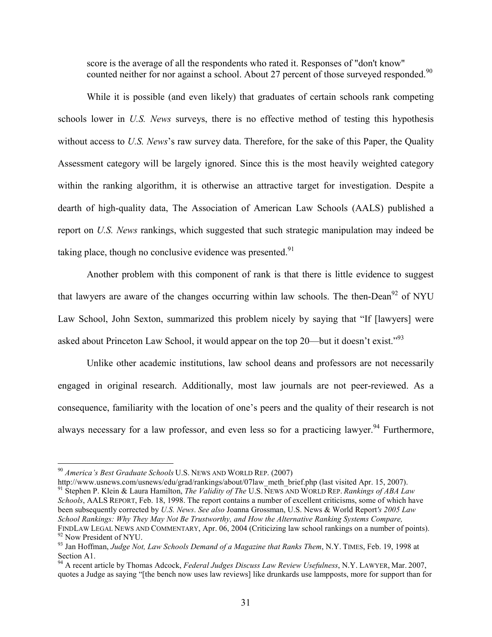score is the average of all the respondents who rated it. Responses of "don't know" counted neither for nor against a school. About 27 percent of those surveyed responded.<sup>90</sup>

 While it is possible (and even likely) that graduates of certain schools rank competing schools lower in U.S. News surveys, there is no effective method of testing this hypothesis without access to U.S. News's raw survey data. Therefore, for the sake of this Paper, the Quality Assessment category will be largely ignored. Since this is the most heavily weighted category within the ranking algorithm, it is otherwise an attractive target for investigation. Despite a dearth of high-quality data, The Association of American Law Schools (AALS) published a report on U.S. News rankings, which suggested that such strategic manipulation may indeed be taking place, though no conclusive evidence was presented. $91$ 

 Another problem with this component of rank is that there is little evidence to suggest that lawyers are aware of the changes occurring within law schools. The then-Dean<sup>92</sup> of NYU Law School, John Sexton, summarized this problem nicely by saying that "If [lawyers] were asked about Princeton Law School, it would appear on the top  $20$ —but it doesn't exist."<sup>93</sup>

 Unlike other academic institutions, law school deans and professors are not necessarily engaged in original research. Additionally, most law journals are not peer-reviewed. As a consequence, familiarity with the location of one's peers and the quality of their research is not always necessary for a law professor, and even less so for a practicing lawyer.<sup>94</sup> Furthermore,

-

http://www.usnews.com/usnews/edu/grad/rankings/about/07law\_meth\_brief.php (last visited Apr. 15, 2007).

<sup>91</sup> Stephen P. Klein & Laura Hamilton, *The Validity of The U.S.* NEWS AND WORLD REP. Rankings of ABA Law Schools, AALS REPORT, Feb. 18, 1998. The report contains a number of excellent criticisms, some of which have been subsequently corrected by U.S. News. See also Joanna Grossman, U.S. News & World Report's 2005 Law School Rankings: Why They May Not Be Trustworthy, and How the Alternative Ranking Systems Compare, FINDLAW LEGAL NEWS AND COMMENTARY, Apr. 06, 2004 (Criticizing law school rankings on a number of points). <sup>92</sup> Now President of NYU.

 $^{90}$  America's Best Graduate Schools U.S. NEWS AND WORLD REP. (2007)

<sup>&</sup>lt;sup>93</sup> Jan Hoffman, Judge Not, Law Schools Demand of a Magazine that Ranks Them, N.Y. TIMES, Feb. 19, 1998 at Section A1.

 $^{94}$  A recent article by Thomas Adcock, Federal Judges Discuss Law Review Usefulness, N.Y. LAWYER, Mar. 2007, quotes a Judge as saying "[the bench now uses law reviews] like drunkards use lampposts, more for support than for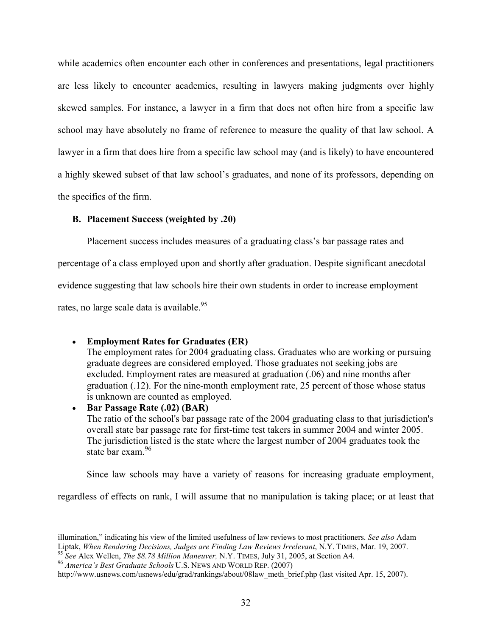while academics often encounter each other in conferences and presentations, legal practitioners are less likely to encounter academics, resulting in lawyers making judgments over highly skewed samples. For instance, a lawyer in a firm that does not often hire from a specific law school may have absolutely no frame of reference to measure the quality of that law school. A lawyer in a firm that does hire from a specific law school may (and is likely) to have encountered a highly skewed subset of that law school's graduates, and none of its professors, depending on the specifics of the firm.

## B. Placement Success (weighted by .20)

Placement success includes measures of a graduating class's bar passage rates and

percentage of a class employed upon and shortly after graduation. Despite significant anecdotal

evidence suggesting that law schools hire their own students in order to increase employment

rates, no large scale data is available.<sup>95</sup>

-

• Employment Rates for Graduates (ER) The employment rates for 2004 graduating class. Graduates who are working or pursuing graduate degrees are considered employed. Those graduates not seeking jobs are excluded. Employment rates are measured at graduation (.06) and nine months after graduation (.12). For the nine-month employment rate, 25 percent of those whose status is unknown are counted as employed. • Bar Passage Rate (.02) (BAR)

The ratio of the school's bar passage rate of the 2004 graduating class to that jurisdiction's overall state bar passage rate for first-time test takers in summer 2004 and winter 2005. The jurisdiction listed is the state where the largest number of 2004 graduates took the state bar exam.<sup>96</sup>

Since law schools may have a variety of reasons for increasing graduate employment,

regardless of effects on rank, I will assume that no manipulation is taking place; or at least that

illumination," indicating his view of the limited usefulness of law reviews to most practitioners. See also Adam Liptak, When Rendering Decisions, Judges are Finding Law Reviews Irrelevant, N.Y. TIMES, Mar. 19, 2007.

<sup>&</sup>lt;sup>95</sup> See Alex Wellen, *The \$8.78 Million Maneuver*, N.Y. TIMES, July 31, 2005, at Section A4.

<sup>96</sup> America's Best Graduate Schools U.S. NEWS AND WORLD REP. (2007)

http://www.usnews.com/usnews/edu/grad/rankings/about/08law\_meth\_brief.php (last visited Apr. 15, 2007).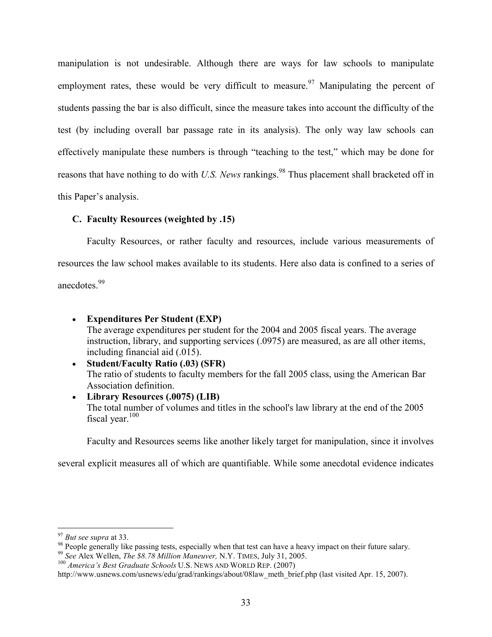manipulation is not undesirable. Although there are ways for law schools to manipulate employment rates, these would be very difficult to measure.<sup>97</sup> Manipulating the percent of students passing the bar is also difficult, since the measure takes into account the difficulty of the test (by including overall bar passage rate in its analysis). The only way law schools can effectively manipulate these numbers is through "teaching to the test," which may be done for reasons that have nothing to do with U.S. News rankings.<sup>98</sup> Thus placement shall bracketed off in this Paper's analysis.

## C. Faculty Resources (weighted by .15)

Faculty Resources, or rather faculty and resources, include various measurements of resources the law school makes available to its students. Here also data is confined to a series of anecdotes.<sup>99</sup>

- Expenditures Per Student (EXP) The average expenditures per student for the 2004 and 2005 fiscal years. The average instruction, library, and supporting services (.0975) are measured, as are all other items, including financial aid (.015).
- Student/Faculty Ratio (.03) (SFR) The ratio of students to faculty members for the fall 2005 class, using the American Bar Association definition.
- Library Resources (.0075) (LIB) The total number of volumes and titles in the school's law library at the end of the 2005 fiscal year. $100$

Faculty and Resources seems like another likely target for manipulation, since it involves

several explicit measures all of which are quantifiable. While some anecdotal evidence indicates

 $97$  But see supra at 33.

<sup>&</sup>lt;sup>98</sup> People generally like passing tests, especially when that test can have a heavy impact on their future salary.

<sup>&</sup>lt;sup>99</sup> See Alex Wellen, The \$8.78 Million Maneuver, N.Y. TIMES, July 31, 2005.

 $100$  America's Best Graduate Schools U.S. NEWS AND WORLD REP. (2007)

http://www.usnews.com/usnews/edu/grad/rankings/about/08law\_meth\_brief.php (last visited Apr. 15, 2007).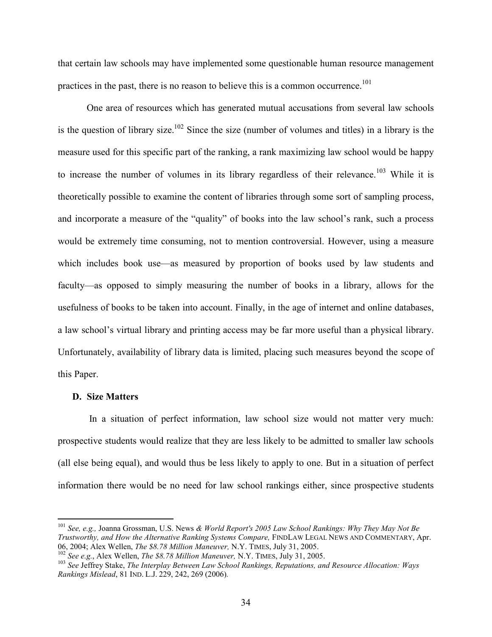that certain law schools may have implemented some questionable human resource management practices in the past, there is no reason to believe this is a common occurrence.<sup>101</sup>

One area of resources which has generated mutual accusations from several law schools is the question of library size.<sup>102</sup> Since the size (number of volumes and titles) in a library is the measure used for this specific part of the ranking, a rank maximizing law school would be happy to increase the number of volumes in its library regardless of their relevance.<sup>103</sup> While it is theoretically possible to examine the content of libraries through some sort of sampling process, and incorporate a measure of the "quality" of books into the law school's rank, such a process would be extremely time consuming, not to mention controversial. However, using a measure which includes book use—as measured by proportion of books used by law students and faculty—as opposed to simply measuring the number of books in a library, allows for the usefulness of books to be taken into account. Finally, in the age of internet and online databases, a law school's virtual library and printing access may be far more useful than a physical library. Unfortunately, availability of library data is limited, placing such measures beyond the scope of this Paper.

#### D. Size Matters

-

 In a situation of perfect information, law school size would not matter very much: prospective students would realize that they are less likely to be admitted to smaller law schools (all else being equal), and would thus be less likely to apply to one. But in a situation of perfect information there would be no need for law school rankings either, since prospective students

 $102$  See e.g., Alex Wellen, *The \$8.78 Million Maneuver*, N.Y. TIMES, July 31, 2005.

 $^{101}$  See, e.g., Joanna Grossman, U.S. News & World Report's 2005 Law School Rankings: Why They May Not Be Trustworthy, and How the Alternative Ranking Systems Compare, FINDLAW LEGAL NEWS AND COMMENTARY, Apr. 06, 2004; Alex Wellen, The \$8.78 Million Maneuver, N.Y. TIMES, July 31, 2005.

 $103$  See Jeffrey Stake, The Interplay Between Law School Rankings, Reputations, and Resource Allocation: Ways Rankings Mislead, 81 IND. L.J. 229, 242, 269 (2006).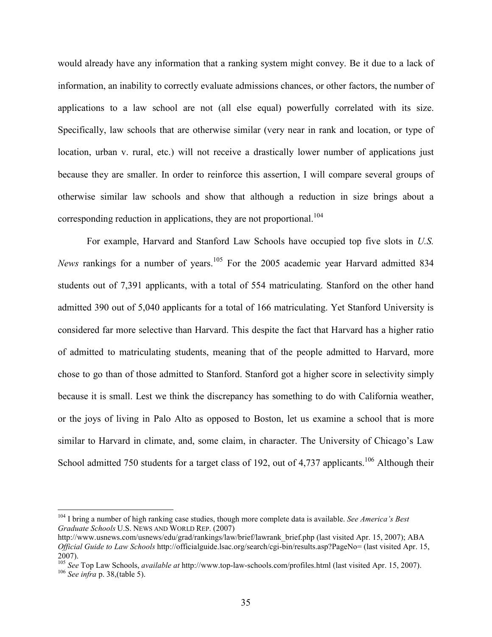would already have any information that a ranking system might convey. Be it due to a lack of information, an inability to correctly evaluate admissions chances, or other factors, the number of applications to a law school are not (all else equal) powerfully correlated with its size. Specifically, law schools that are otherwise similar (very near in rank and location, or type of location, urban v. rural, etc.) will not receive a drastically lower number of applications just because they are smaller. In order to reinforce this assertion, I will compare several groups of otherwise similar law schools and show that although a reduction in size brings about a corresponding reduction in applications, they are not proportional.<sup>104</sup>

 For example, Harvard and Stanford Law Schools have occupied top five slots in U.S. News rankings for a number of years.<sup>105</sup> For the 2005 academic year Harvard admitted 834 students out of 7,391 applicants, with a total of 554 matriculating. Stanford on the other hand admitted 390 out of 5,040 applicants for a total of 166 matriculating. Yet Stanford University is considered far more selective than Harvard. This despite the fact that Harvard has a higher ratio of admitted to matriculating students, meaning that of the people admitted to Harvard, more chose to go than of those admitted to Stanford. Stanford got a higher score in selectivity simply because it is small. Lest we think the discrepancy has something to do with California weather, or the joys of living in Palo Alto as opposed to Boston, let us examine a school that is more similar to Harvard in climate, and, some claim, in character. The University of Chicago's Law School admitted 750 students for a target class of 192, out of 4,737 applicants.<sup>106</sup> Although their

 $104$  I bring a number of high ranking case studies, though more complete data is available. See America's Best Graduate Schools U.S. NEWS AND WORLD REP. (2007)

http://www.usnews.com/usnews/edu/grad/rankings/law/brief/lawrank\_brief.php (last visited Apr. 15, 2007); ABA Official Guide to Law Schools http://officialguide.lsac.org/search/cgi-bin/results.asp?PageNo= (last visited Apr. 15, 2007).

<sup>&</sup>lt;sup>105</sup> See Top Law Schools, *available at* http://www.top-law-schools.com/profiles.html (last visited Apr. 15, 2007).  $106$  See infra p. 38, (table 5).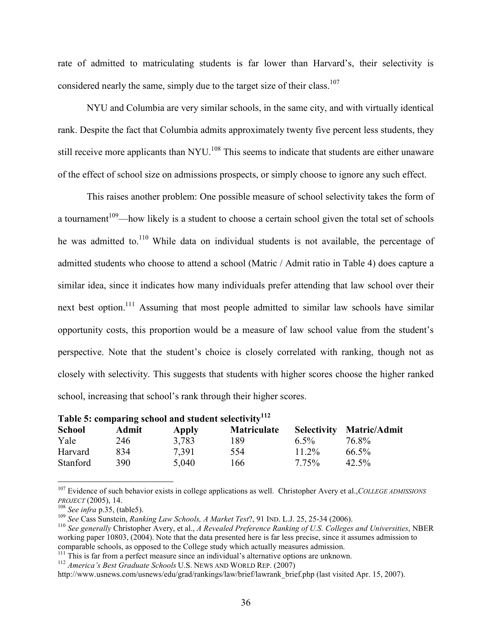rate of admitted to matriculating students is far lower than Harvard's, their selectivity is considered nearly the same, simply due to the target size of their class.<sup>107</sup>

NYU and Columbia are very similar schools, in the same city, and with virtually identical rank. Despite the fact that Columbia admits approximately twenty five percent less students, they still receive more applicants than NYU.<sup>108</sup> This seems to indicate that students are either unaware of the effect of school size on admissions prospects, or simply choose to ignore any such effect.

This raises another problem: One possible measure of school selectivity takes the form of a tournament<sup>109</sup>—how likely is a student to choose a certain school given the total set of schools he was admitted to.<sup>110</sup> While data on individual students is not available, the percentage of admitted students who choose to attend a school (Matric / Admit ratio in Table 4) does capture a similar idea, since it indicates how many individuals prefer attending that law school over their next best option.<sup>111</sup> Assuming that most people admitted to similar law schools have similar opportunity costs, this proportion would be a measure of law school value from the student's perspective. Note that the student's choice is closely correlated with ranking, though not as closely with selectivity. This suggests that students with higher scores choose the higher ranked school, increasing that school's rank through their higher scores.

| Table 5: comparing school and student selectivity <sup>112</sup> |       |       |                    |                    |                     |
|------------------------------------------------------------------|-------|-------|--------------------|--------------------|---------------------|
| <b>School</b>                                                    | Admit | Apply | <b>Matriculate</b> | <b>Selectivity</b> | <b>Matric/Admit</b> |
| Yale                                                             | 246   | 3.783 | 189                | 6.5%               | 76.8%               |
| Harvard                                                          | 834   | 7.391 | 554                | $11.2\%$           | $66.5\%$            |
| Stanford                                                         | 390   | 5.040 | 166                | 7.75%              | $42.5\%$            |

<sup>&</sup>lt;sup>107</sup> Evidence of such behavior exists in college applications as well. Christopher Avery et al., COLLEGE ADMISSIONS PROJECT (2005), 14.

l

 $108$  See infra p.35, (table5).

 $109$  See Cass Sunstein, Ranking Law Schools, A Market Test?, 91 IND. L.J. 25, 25-34 (2006).

 $110$  See generally Christopher Avery, et al., A Revealed Preference Ranking of U.S. Colleges and Universities, NBER working paper 10803, (2004). Note that the data presented here is far less precise, since it assumes admission to comparable schools, as opposed to the College study which actually measures admission.

<sup>&</sup>lt;sup>111</sup> This is far from a perfect measure since an individual's alternative options are unknown.

<sup>&</sup>lt;sup>112</sup> America's Best Graduate Schools U.S. NEWS AND WORLD REP. (2007)

http://www.usnews.com/usnews/edu/grad/rankings/law/brief/lawrank\_brief.php (last visited Apr. 15, 2007).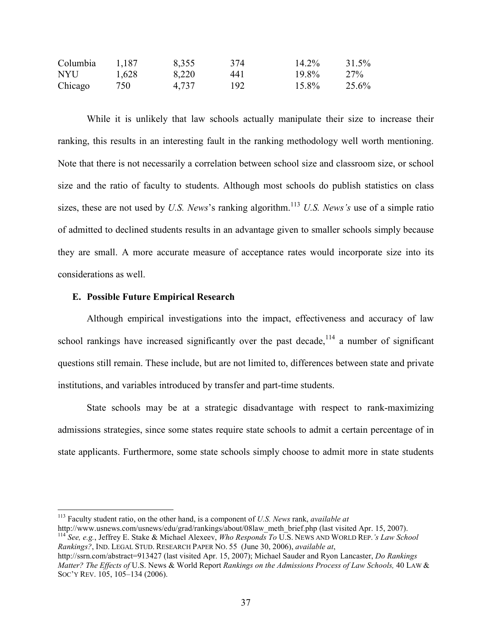| Columbia | 1,187 | 8,355 | 374 | 14.2% | 31.5% |
|----------|-------|-------|-----|-------|-------|
| NYU .    | 1,628 | 8,220 | 441 | 19.8% | 27%   |
| Chicago  | 750-  | 4,737 | 192 | 15.8% | 25.6% |

 While it is unlikely that law schools actually manipulate their size to increase their ranking, this results in an interesting fault in the ranking methodology well worth mentioning. Note that there is not necessarily a correlation between school size and classroom size, or school size and the ratio of faculty to students. Although most schools do publish statistics on class sizes, these are not used by U.S. News's ranking algorithm.<sup>113</sup> U.S. News's use of a simple ratio of admitted to declined students results in an advantage given to smaller schools simply because they are small. A more accurate measure of acceptance rates would incorporate size into its considerations as well.

#### E. Possible Future Empirical Research

<u>.</u>

Although empirical investigations into the impact, effectiveness and accuracy of law school rankings have increased significantly over the past decade,<sup>114</sup> a number of significant questions still remain. These include, but are not limited to, differences between state and private institutions, and variables introduced by transfer and part-time students.

 State schools may be at a strategic disadvantage with respect to rank-maximizing admissions strategies, since some states require state schools to admit a certain percentage of in state applicants. Furthermore, some state schools simply choose to admit more in state students

http://www.usnews.com/usnews/edu/grad/rankings/about/08law\_meth\_brief.php (last visited Apr. 15, 2007). <sup>114</sup> See, e.g., Jeffrey E. Stake & Michael Alexeev, Who Responds To U.S. NEWS AND WORLD REP.'s Law School Rankings?, IND. LEGAL STUD. RESEARCH PAPER NO. 55 (June 30, 2006), available at,

 $113$  Faculty student ratio, on the other hand, is a component of U.S. News rank, available at

http://ssrn.com/abstract=913427 (last visited Apr. 15, 2007); Michael Sauder and Ryon Lancaster, *Do Rankings* Matter? The Effects of U.S. News & World Report Rankings on the Admissions Process of Law Schools, 40 LAW & SOC'Y REV. 105, 105–134 (2006).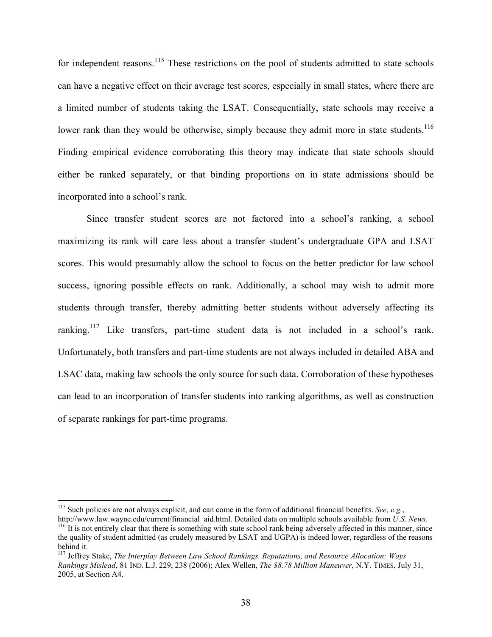for independent reasons.<sup>115</sup> These restrictions on the pool of students admitted to state schools can have a negative effect on their average test scores, especially in small states, where there are a limited number of students taking the LSAT. Consequentially, state schools may receive a lower rank than they would be otherwise, simply because they admit more in state students.<sup>116</sup> Finding empirical evidence corroborating this theory may indicate that state schools should either be ranked separately, or that binding proportions on in state admissions should be incorporated into a school's rank.

Since transfer student scores are not factored into a school's ranking, a school maximizing its rank will care less about a transfer student's undergraduate GPA and LSAT scores. This would presumably allow the school to focus on the better predictor for law school success, ignoring possible effects on rank. Additionally, a school may wish to admit more students through transfer, thereby admitting better students without adversely affecting its ranking.<sup>117</sup> Like transfers, part-time student data is not included in a school's rank. Unfortunately, both transfers and part-time students are not always included in detailed ABA and LSAC data, making law schools the only source for such data. Corroboration of these hypotheses can lead to an incorporation of transfer students into ranking algorithms, as well as construction of separate rankings for part-time programs.

<sup>&</sup>lt;sup>115</sup> Such policies are not always explicit, and can come in the form of additional financial benefits. See, e.g.,

http://www.law.wayne.edu/current/financial\_aid.html. Detailed data on multiple schools available from U.S. News.  $116$  It is not entirely clear that there is something with state school rank being adversely affected in this manner, since the quality of student admitted (as crudely measured by LSAT and UGPA) is indeed lower, regardless of the reasons behind it.

 $117$  Jeffrey Stake, The Interplay Between Law School Rankings, Reputations, and Resource Allocation: Ways Rankings Mislead, 81 IND. L.J. 229, 238 (2006); Alex Wellen, The \$8.78 Million Maneuver, N.Y. TIMES, July 31, 2005, at Section A4.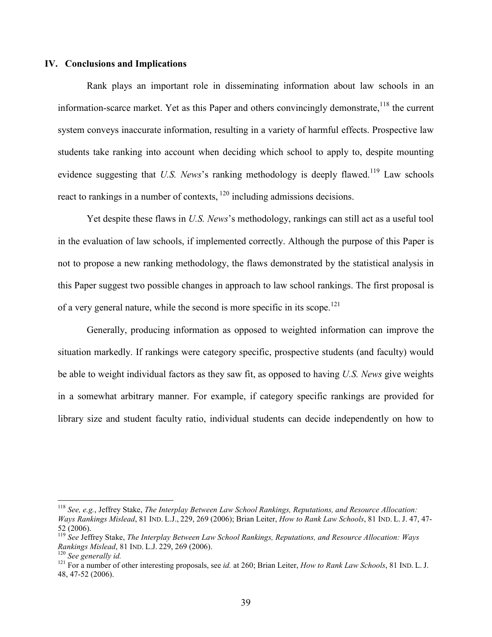## IV. Conclusions and Implications

Rank plays an important role in disseminating information about law schools in an information-scarce market. Yet as this Paper and others convincingly demonstrate,<sup>118</sup> the current system conveys inaccurate information, resulting in a variety of harmful effects. Prospective law students take ranking into account when deciding which school to apply to, despite mounting evidence suggesting that U.S. News's ranking methodology is deeply flawed.<sup>119</sup> Law schools react to rankings in a number of contexts,  $120$  including admissions decisions.

Yet despite these flaws in U.S. News's methodology, rankings can still act as a useful tool in the evaluation of law schools, if implemented correctly. Although the purpose of this Paper is not to propose a new ranking methodology, the flaws demonstrated by the statistical analysis in this Paper suggest two possible changes in approach to law school rankings. The first proposal is of a very general nature, while the second is more specific in its scope.<sup>121</sup>

Generally, producing information as opposed to weighted information can improve the situation markedly. If rankings were category specific, prospective students (and faculty) would be able to weight individual factors as they saw fit, as opposed to having U.S. News give weights in a somewhat arbitrary manner. For example, if category specific rankings are provided for library size and student faculty ratio, individual students can decide independently on how to

 $118$  See, e.g., Jeffrey Stake, The Interplay Between Law School Rankings, Reputations, and Resource Allocation: Ways Rankings Mislead, 81 IND. L.J., 229, 269 (2006); Brian Leiter, How to Rank Law Schools, 81 IND. L. J. 47, 47- 52 (2006).

 $119$  See Jeffrey Stake, The Interplay Between Law School Rankings, Reputations, and Resource Allocation: Ways Rankings Mislead, 81 IND. L.J. 229, 269 (2006).

 $120$  See generally id.

<sup>&</sup>lt;sup>121</sup> For a number of other interesting proposals, see *id.* at 260; Brian Leiter, *How to Rank Law Schools*, 81 IND. L. J. 48, 47-52 (2006).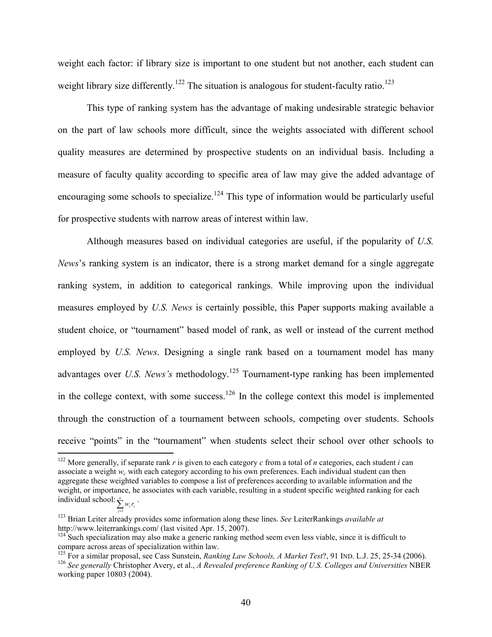weight each factor: if library size is important to one student but not another, each student can weight library size differently.<sup>122</sup> The situation is analogous for student-faculty ratio.<sup>123</sup>

This type of ranking system has the advantage of making undesirable strategic behavior on the part of law schools more difficult, since the weights associated with different school quality measures are determined by prospective students on an individual basis. Including a measure of faculty quality according to specific area of law may give the added advantage of encouraging some schools to specialize.<sup>124</sup> This type of information would be particularly useful for prospective students with narrow areas of interest within law.

Although measures based on individual categories are useful, if the popularity of U.S. News's ranking system is an indicator, there is a strong market demand for a single aggregate ranking system, in addition to categorical rankings. While improving upon the individual measures employed by U.S. News is certainly possible, this Paper supports making available a student choice, or "tournament" based model of rank, as well or instead of the current method employed by U.S. News. Designing a single rank based on a tournament model has many advantages over U.S. News's methodology.<sup>125</sup> Tournament-type ranking has been implemented in the college context, with some success.<sup>126</sup> In the college context this model is implemented through the construction of a tournament between schools, competing over students. Schools receive "points" in the "tournament" when students select their school over other schools to

-

= j 1

<sup>&</sup>lt;sup>122</sup> More generally, if separate rank r is given to each category c from a total of n categories, each student i can associate a weight  $w_c$  with each category according to his own preferences. Each individual student can then aggregate these weighted variables to compose a list of preferences according to available information and the weight, or importance, he associates with each variable, resulting in a student specific weighted ranking for each individual school:  $\sum_{\substack{n\\c}} w_c r_c$ .

 $123$  Brian Leiter already provides some information along these lines. See LeiterRankings *available at* http://www.leiterrankings.com/ (last visited Apr. 15, 2007).

 $124$  Such specialization may also make a generic ranking method seem even less viable, since it is difficult to compare across areas of specialization within law.

<sup>&</sup>lt;sup>125</sup> For a similar proposal, see Cass Sunstein, Ranking Law Schools, A Market Test?, 91 IND. L.J. 25, 25-34 (2006). <sup>126</sup> See generally Christopher Avery, et al., A Revealed preference Ranking of U.S. Colleges and Universities NBER working paper 10803 (2004).